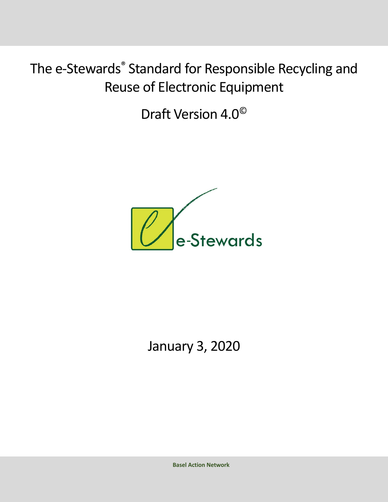Draft Version 4.0©



January 3, 2020

**Basel Action Network**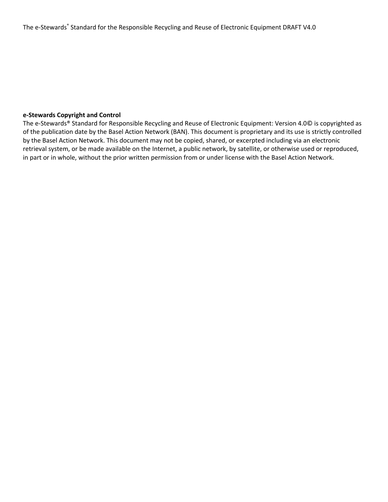# **e-Stewards Copyright and Control**

The e-Stewards® Standard for Responsible Recycling and Reuse of Electronic Equipment: Version 4.0© is copyrighted as of the publication date by the Basel Action Network (BAN). This document is proprietary and its use is strictly controlled by the Basel Action Network. This document may not be copied, shared, or excerpted including via an electronic retrieval system, or be made available on the Internet, a public network, by satellite, or otherwise used or reproduced, in part or in whole, without the prior written permission from or under license with the Basel Action Network.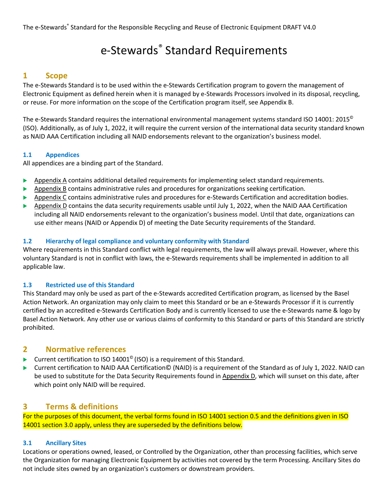# e-Stewards® Standard Requirements

# **1 Scope**

The e-Stewards Standard is to be used within the e-Stewards Certification program to govern the management of Electronic Equipment as defined herein when it is managed by e-Stewards Processors involved in its disposal, recycling, or reuse. For more information on the scope of the Certification program itself, see Appendix B.

The e-Stewards Standard requires the international environmental management systems standard ISO 14001: 2015<sup>©</sup> (ISO). Additionally, as of July 1, 2022, it will require the current version of the international data security standard known as NAID AAA Certification including all NAID endorsements relevant to the organization's business model.

# **1.1 Appendices**

All appendices are a binding part of the Standard.

- **EXECUTE:** Appendix A contains additional detailed requirements for implementing select standard requirements.
- $\blacktriangleright$  Appendix B contains administrative rules and procedures for organizations seeking certification.
- **EXP** Appendix C contains administrative rules and procedures for e-Stewards Certification and accreditation bodies.
- **EXECUTE:** Appendix D contains the data security requirements usable until July 1, 2022, when the NAID AAA Certification including all NAID endorsements relevant to the organization's business model. Until that date, organizations can use either means (NAID or Appendix D) of meeting the Date Security requirements of the Standard.

# **1.2 Hierarchy of legal compliance and voluntary conformity with Standard**

Where requirements in this Standard conflict with legal requirements, the law will always prevail. However, where this voluntary Standard is not in conflict with laws, the e-Stewards requirements shall be implemented in addition to all applicable law.

## **1.3 Restricted use of this Standard**

This Standard may only be used as part of the e-Stewards accredited Certification program, as licensed by the Basel Action Network. An organization may only claim to meet this Standard or be an e-Stewards Processor if it is currently certified by an accredited e-Stewards Certification Body and is currently licensed to use the e-Stewards name & logo by Basel Action Network. Any other use or various claims of conformity to this Standard or parts of this Standard are strictly prohibited.

# **2 Normative references**

- ▶ Current certification to ISO 14001<sup>©</sup> (ISO) is a requirement of this Standard.
- ► Current certification to NAID AAA Certification© (NAID) is a requirement of the Standard as of July 1, 2022. NAID can be used to substitute for the Data Security Requirements found in Appendix D, which will sunset on this date, after which point only NAID will be required.

# **3 Terms & definitions**

For the purposes of this document, the verbal forms found in ISO 14001 section 0.5 and the definitions given in ISO 14001 section 3.0 apply, unless they are superseded by the definitions below.

## **3.1 Ancillary Sites**

Locations or operations owned, leased, or Controlled by the Organization, other than processing facilities, which serve the Organization for managing Electronic Equipment by activities not covered by the term Processing. Ancillary Sites do not include sites owned by an organization's customers or downstream providers.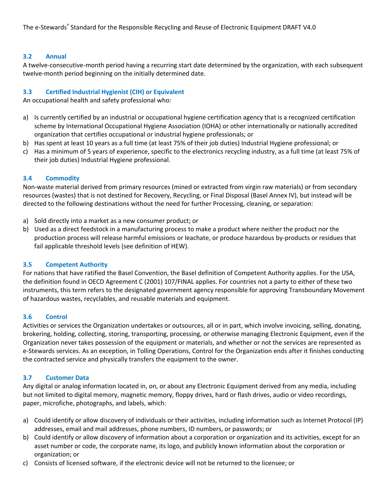#### **3.2 Annual**

A twelve-consecutive-month period having a recurring start date determined by the organization, with each subsequent twelve-month period beginning on the initially determined date.

#### **3.3 Certified Industrial Hygienist (CIH) or Equivalent**

An occupational health and safety professional who:

- a) Is currently certified by an industrial or occupational hygiene certification agency that is a recognized certification scheme by International Occupational Hygiene Association (IOHA) or other internationally or nationally accredited organization that certifies occupational or industrial hygiene professionals; or
- b) Has spent at least 10 years as a full time (at least 75% of their job duties) Industrial Hygiene professional; or
- c) Has a minimum of 5 years of experience, specific to the electronics recycling industry, as a full time (at least 75% of their job duties) Industrial Hygiene professional.

#### **3.4 Commodity**

Non-waste material derived from primary resources (mined or extracted from virgin raw materials) or from secondary resources (wastes) that is not destined for Recovery, Recycling, or Final Disposal (Basel Annex IV), but instead will be directed to the following destinations without the need for further Processing, cleaning, or separation:

- a) Sold directly into a market as a new consumer product; or
- b) Used as a direct feedstock in a manufacturing process to make a product where neither the product nor the production process will release harmful emissions or leachate, or produce hazardous by-products or residues that fail applicable threshold levels (see definition of HEW).

## **3.5 Competent Authority**

For nations that have ratified the Basel Convention, the Basel definition of Competent Authority applies. For the USA, the definition found in OECD Agreement C (2001) 107/FINAL applies. For countries not a party to either of these two instruments, this term refers to the designated government agency responsible for approving Transboundary Movement of hazardous wastes, recyclables, and reusable materials and equipment.

#### **3.6 Control**

Activities or services the Organization undertakes or outsources, all or in part, which involve invoicing, selling, donating, brokering, holding, collecting, storing, transporting, processing, or otherwise managing Electronic Equipment, even if the Organization never takes possession of the equipment or materials, and whether or not the services are represented as e-Stewards services. As an exception, in Tolling Operations, Control for the Organization ends after it finishes conducting the contracted service and physically transfers the equipment to the owner.

## **3.7 Customer Data**

Any digital or analog information located in, on, or about any Electronic Equipment derived from any media, including but not limited to digital memory, magnetic memory, floppy drives, hard or flash drives, audio or video recordings, paper, microfiche, photographs, and labels, which:

- a) Could identify or allow discovery of individuals or their activities, including information such as Internet Protocol (IP) addresses, email and mail addresses, phone numbers, ID numbers, or passwords; or
- b) Could identify or allow discovery of information about a corporation or organization and its activities, except for an asset number or code, the corporate name, its logo, and publicly known information about the corporation or organization; or
- c) Consists of licensed software, if the electronic device will not be returned to the licensee; or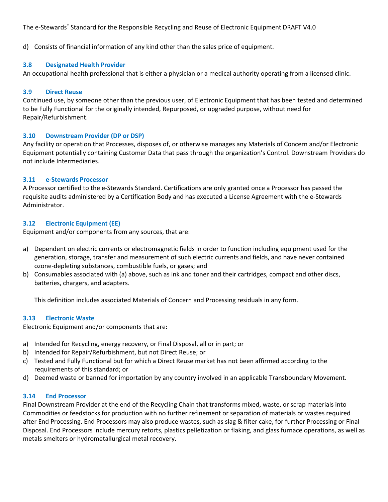d) Consists of financial information of any kind other than the sales price of equipment.

#### **3.8 Designated Health Provider**

An occupational health professional that is either a physician or a medical authority operating from a licensed clinic.

#### **3.9 Direct Reuse**

Continued use, by someone other than the previous user, of Electronic Equipment that has been tested and determined to be Fully Functional for the originally intended, Repurposed, or upgraded purpose, without need for Repair/Refurbishment.

#### **3.10 Downstream Provider (DP or DSP)**

Any facility or operation that Processes, disposes of, or otherwise manages any Materials of Concern and/or Electronic Equipment potentially containing Customer Data that pass through the organization's Control. Downstream Providers do not include Intermediaries.

#### **3.11 e-Stewards Processor**

A Processor certified to the e-Stewards Standard. Certifications are only granted once a Processor has passed the requisite audits administered by a Certification Body and has executed a License Agreement with the e-Stewards Administrator.

#### **3.12 Electronic Equipment (EE)**

Equipment and/or components from any sources, that are:

- a) Dependent on electric currents or electromagnetic fields in order to function including equipment used for the generation, storage, transfer and measurement of such electric currents and fields, and have never contained ozone-depleting substances, combustible fuels, or gases; and
- b) Consumables associated with (a) above, such as ink and toner and their cartridges, compact and other discs, batteries, chargers, and adapters.

This definition includes associated Materials of Concern and Processing residuals in any form.

#### **3.13 Electronic Waste**

Electronic Equipment and/or components that are:

- a) Intended for Recycling, energy recovery, or Final Disposal, all or in part; or
- b) Intended for Repair/Refurbishment, but not Direct Reuse; or
- c) Tested and Fully Functional but for which a Direct Reuse market has not been affirmed according to the requirements of this standard; or
- d) Deemed waste or banned for importation by any country involved in an applicable Transboundary Movement.

## **3.14 End Processor**

Final Downstream Provider at the end of the Recycling Chain that transforms mixed, waste, or scrap materials into Commodities or feedstocks for production with no further refinement or separation of materials or wastes required after End Processing. End Processors may also produce wastes, such as slag & filter cake, for further Processing or Final Disposal. End Processors include mercury retorts, plastics pelletization or flaking, and glass furnace operations, as well as metals smelters or hydrometallurgical metal recovery.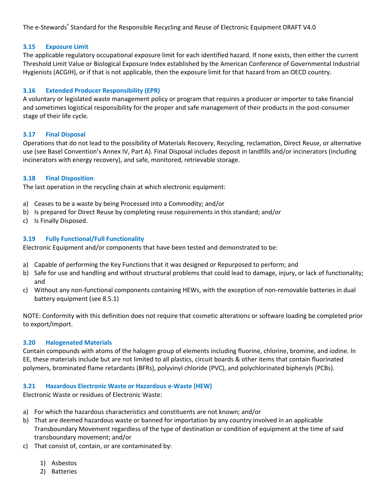## **3.15 Exposure Limit**

The applicable regulatory occupational exposure limit for each identified hazard. If none exists, then either the current Threshold Limit Value or Biological Exposure Index established by the American Conference of Governmental Industrial Hygienists (ACGIH), or if that is not applicable, then the exposure limit for that hazard from an OECD country.

# **3.16 Extended Producer Responsibility (EPR)**

A voluntary or legislated waste management policy or program that requires a producer or importer to take financial and sometimes logistical responsibility for the proper and safe management of their products in the post-consumer stage of their life cycle.

## **3.17 Final Disposal**

Operations that do not lead to the possibility of Materials Recovery, Recycling, reclamation, Direct Reuse, or alternative use (see Basel Convention's Annex IV, Part A). Final Disposal includes deposit in landfills and/or incinerators (including incinerators with energy recovery), and safe, monitored, retrievable storage.

## **3.18 Final Disposition**

The last operation in the recycling chain at which electronic equipment:

- a) Ceases to be a waste by being Processed into a Commodity; and/or
- b) Is prepared for Direct Reuse by completing reuse requirements in this standard; and/or
- c) Is Finally Disposed.

## **3.19 Fully Functional/Full Functionality**

Electronic Equipment and/or components that have been tested and demonstrated to be:

- a) Capable of performing the Key Functions that it was designed or Repurposed to perform; and
- b) Safe for use and handling and without structural problems that could lead to damage, injury, or lack of functionality; and
- c) Without any non-functional components containing HEWs, with the exception of non-removable batteries in dual battery equipment (see 8.5.1)

NOTE: Conformity with this definition does not require that cosmetic alterations or software loading be completed prior to export/import.

## **3.20 Halogenated Materials**

Contain compounds with atoms of the halogen group of elements including fluorine, chlorine, bromine, and iodine. In EE, these materials include but are not limited to all plastics, circuit boards & other items that contain fluorinated polymers, brominated flame retardants (BFRs), polyvinyl chloride (PVC), and polychlorinated biphenyls (PCBs).

## **3.21 Hazardous Electronic Waste or Hazardous e-Waste (HEW)**

Electronic Waste or residues of Electronic Waste:

- a) For which the hazardous characteristics and constituents are not known; and/or
- b) That are deemed hazardous waste or banned for importation by any country involved in an applicable Transboundary Movement regardless of the type of destination or condition of equipment at the time of said transboundary movement; and/or
- c) That consist of, contain, or are contaminated by:
	- 1) Asbestos
	- 2) Batteries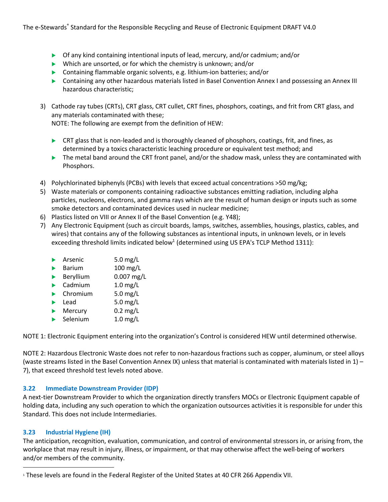- $\triangleright$  Of any kind containing intentional inputs of lead, mercury, and/or cadmium; and/or
- $\blacktriangleright$  Which are unsorted, or for which the chemistry is unknown; and/or
- $\triangleright$  Containing flammable organic solvents, e.g. lithium-ion batteries; and/or
- **Demographs** Containing any other hazardous materials listed in Basel Convention Annex I and possessing an Annex III hazardous characteristic;
- 3) Cathode ray tubes (CRTs), CRT glass, CRT cullet, CRT fines, phosphors, coatings, and frit from CRT glass, and any materials contaminated with these;

NOTE: The following are exempt from the definition of HEW:

- $\triangleright$  CRT glass that is non-leaded and is thoroughly cleaned of phosphors, coatings, frit, and fines, as determined by a toxics characteristic leaching procedure or equivalent test method; and
- $\triangleright$  The metal band around the CRT front panel, and/or the shadow mask, unless they are contaminated with Phosphors.
- 4) Polychlorinated biphenyls (PCBs) with levels that exceed actual concentrations >50 mg/kg;
- 5) Waste materials or components containing radioactive substances emitting radiation, including alpha particles, nucleons, electrons, and gamma rays which are the result of human design or inputs such as some smoke detectors and contaminated devices used in nuclear medicine;
- 6) Plastics listed on VIII or Annex II of the Basel Convention (e.g. Y48);
- 7) Any Electronic Equipment (such as circuit boards, lamps, switches, assemblies, housings, plastics, cables, and wires) that contains any of the following substances as intentional inputs, in unknown levels, or in levels exceeding threshold limits indicated below<sup>1</sup> (determined using US EPA's TCLP Method 1311):

|   | Arsenic       | 5.0 $mg/L$   |
|---|---------------|--------------|
|   | <b>Barium</b> | $100$ mg/L   |
| ь | Beryllium     | $0.007$ mg/L |
| ь | Cadmium       | $1.0$ mg/L   |
|   | Chromium      | 5.0 mg/L     |
|   | Lead          | 5.0 mg/L     |
|   | Mercury       | $0.2$ mg/L   |
|   |               |              |

 $\triangleright$  Selenium 1.0 mg/L

NOTE 1: Electronic Equipment entering into the organization's Control is considered HEW until determined otherwise.

NOTE 2: Hazardous Electronic Waste does not refer to non-hazardous fractions such as copper, aluminum, or steel alloys (waste streams listed in the Basel Convention Annex IX) unless that material is contaminated with materials listed in  $1$ ) – 7), that exceed threshold test levels noted above.

# **3.22 Immediate Downstream Provider (IDP)**

A next-tier Downstream Provider to which the organization directly transfers MOCs or Electronic Equipment capable of holding data, including any such operation to which the organization outsources activities it is responsible for under this Standard. This does not include Intermediaries.

# **3.23 Industrial Hygiene (IH)**

The anticipation, recognition, evaluation, communication, and control of environmental stressors in, or arising from, the workplace that may result in injury, illness, or impairment, or that may otherwise affect the well-being of workers and/or members of the community.

<sup>1</sup> These levels are found in the Federal Register of the United States at 40 CFR 266 Appendix VII.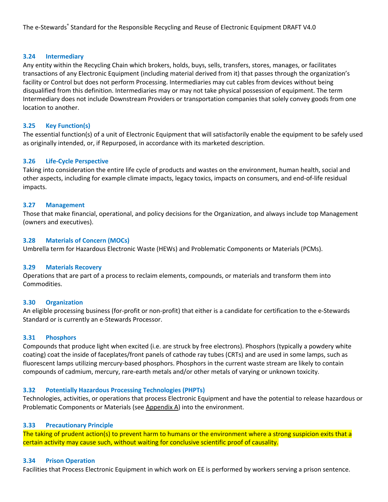#### **3.24 Intermediary**

Any entity within the Recycling Chain which brokers, holds, buys, sells, transfers, stores, manages, or facilitates transactions of any Electronic Equipment (including material derived from it) that passes through the organization's facility or Control but does not perform Processing. Intermediaries may cut cables from devices without being disqualified from this definition. Intermediaries may or may not take physical possession of equipment. The term Intermediary does not include Downstream Providers or transportation companies that solely convey goods from one location to another.

#### **3.25 Key Function(s)**

The essential function(s) of a unit of Electronic Equipment that will satisfactorily enable the equipment to be safely used as originally intended, or, if Repurposed, in accordance with its marketed description.

#### **3.26 Life-Cycle Perspective**

Taking into consideration the entire life cycle of products and wastes on the environment, human health, social and other aspects, including for example climate impacts, legacy toxics, impacts on consumers, and end-of-life residual impacts.

#### **3.27 Management**

Those that make financial, operational, and policy decisions for the Organization, and always include top Management (owners and executives).

#### **3.28 Materials of Concern (MOCs)**

Umbrella term for Hazardous Electronic Waste (HEWs) and Problematic Components or Materials (PCMs).

#### **3.29 Materials Recovery**

Operations that are part of a process to reclaim elements, compounds, or materials and transform them into Commodities.

#### **3.30 Organization**

An eligible processing business (for-profit or non-profit) that either is a candidate for certification to the e-Stewards Standard or is currently an e-Stewards Processor.

#### **3.31 Phosphors**

Compounds that produce light when excited (i.e. are struck by free electrons). Phosphors (typically a powdery white coating) coat the inside of faceplates/front panels of cathode ray tubes (CRTs) and are used in some lamps, such as fluorescent lamps utilizing mercury-based phosphors. Phosphors in the current waste stream are likely to contain compounds of cadmium, mercury, rare-earth metals and/or other metals of varying or unknown toxicity.

#### **3.32 Potentially Hazardous Processing Technologies (PHPTs)**

Technologies, activities, or operations that process Electronic Equipment and have the potential to release hazardous or Problematic Components or Materials (see Appendix A) into the environment.

#### **3.33 Precautionary Principle**

The taking of prudent action(s) to prevent harm to humans or the environment where a strong suspicion exits that a certain activity may cause such, without waiting for conclusive scientific proof of causality.

#### **3.34 Prison Operation**

Facilities that Process Electronic Equipment in which work on EE is performed by workers serving a prison sentence.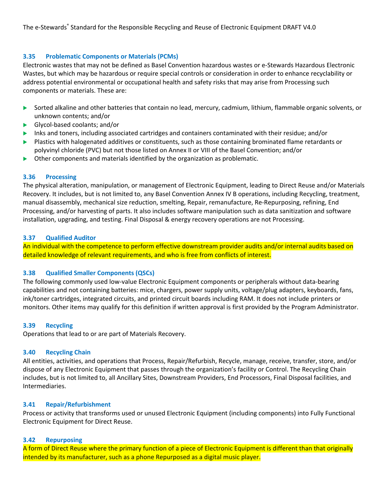## **3.35 Problematic Components or Materials (PCMs)**

Electronic wastes that may not be defined as Basel Convention hazardous wastes or e-Stewards Hazardous Electronic Wastes, but which may be hazardous or require special controls or consideration in order to enhance recyclability or address potential environmental or occupational health and safety risks that may arise from Processing such components or materials. These are:

- u Sorted alkaline and other batteries that contain no lead, mercury, cadmium, lithium, flammable organic solvents, or unknown contents; and/or
- $\blacktriangleright$  Glycol-based coolants; and/or
- Inks and toners, including associated cartridges and containers contaminated with their residue; and/or
- $\blacktriangleright$  Plastics with halogenated additives or constituents, such as those containing brominated flame retardants or polyvinyl chloride (PVC) but not those listed on Annex II or VIII of the Basel Convention; and/or
- $\blacktriangleright$  Other components and materials identified by the organization as problematic.

## **3.36 Processing**

The physical alteration, manipulation, or management of Electronic Equipment, leading to Direct Reuse and/or Materials Recovery. It includes, but is not limited to, any Basel Convention Annex IV B operations, including Recycling, treatment, manual disassembly, mechanical size reduction, smelting, Repair, remanufacture, Re-Repurposing, refining, End Processing, and/or harvesting of parts. It also includes software manipulation such as data sanitization and software installation, upgrading, and testing. Final Disposal & energy recovery operations are not Processing.

## **3.37 Qualified Auditor**

An individual with the competence to perform effective downstream provider audits and/or internal audits based on detailed knowledge of relevant requirements, and who is free from conflicts of interest.

## **3.38 Qualified Smaller Components (QSCs)**

The following commonly used low-value Electronic Equipment components or peripherals without data-bearing capabilities and not containing batteries: mice, chargers, power supply units, voltage/plug adapters, keyboards, fans, ink/toner cartridges, integrated circuits, and printed circuit boards including RAM. It does not include printers or monitors. Other items may qualify for this definition if written approval is first provided by the Program Administrator.

#### **3.39 Recycling**

Operations that lead to or are part of Materials Recovery.

#### **3.40 Recycling Chain**

All entities, activities, and operations that Process, Repair/Refurbish, Recycle, manage, receive, transfer, store, and/or dispose of any Electronic Equipment that passes through the organization's facility or Control. The Recycling Chain includes, but is not limited to, all Ancillary Sites, Downstream Providers, End Processors, Final Disposal facilities, and Intermediaries.

#### **3.41 Repair/Refurbishment**

Process or activity that transforms used or unused Electronic Equipment (including components) into Fully Functional Electronic Equipment for Direct Reuse.

## **3.42 Repurposing**

A form of Direct Reuse where the primary function of a piece of Electronic Equipment is different than that originally intended by its manufacturer, such as a phone Repurposed as a digital music player.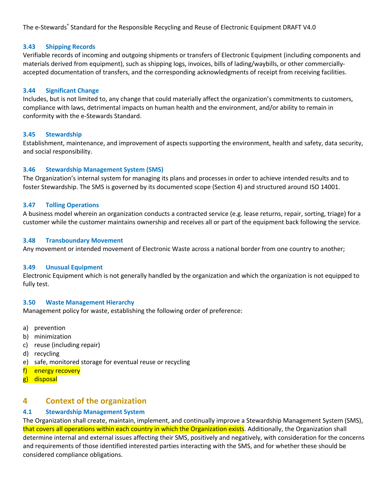#### **3.43 Shipping Records**

Verifiable records of incoming and outgoing shipments or transfers of Electronic Equipment (including components and materials derived from equipment), such as shipping logs, invoices, bills of lading/waybills, or other commerciallyaccepted documentation of transfers, and the corresponding acknowledgments of receipt from receiving facilities.

#### **3.44 Significant Change**

Includes, but is not limited to, any change that could materially affect the organization's commitments to customers, compliance with laws, detrimental impacts on human health and the environment, and/or ability to remain in conformity with the e-Stewards Standard.

#### **3.45 Stewardship**

Establishment, maintenance, and improvement of aspects supporting the environment, health and safety, data security, and social responsibility.

## **3.46 Stewardship Management System (SMS)**

The Organization's internal system for managing its plans and processes in order to achieve intended results and to foster Stewardship. The SMS is governed by its documented scope (Section 4) and structured around ISO 14001.

#### **3.47 Tolling Operations**

A business model wherein an organization conducts a contracted service (e.g. lease returns, repair, sorting, triage) for a customer while the customer maintains ownership and receives all or part of the equipment back following the service.

#### **3.48 Transboundary Movement**

Any movement or intended movement of Electronic Waste across a national border from one country to another;

#### **3.49 Unusual Equipment**

Electronic Equipment which is not generally handled by the organization and which the organization is not equipped to fully test.

#### **3.50 Waste Management Hierarchy**

Management policy for waste, establishing the following order of preference:

- a) prevention
- b) minimization
- c) reuse (including repair)
- d) recycling
- e) safe, monitored storage for eventual reuse or recycling
- f) energy recovery
- g) disposal

# **4 Context of the organization**

## **4.1 Stewardship Management System**

The Organization shall create, maintain, implement, and continually improve a Stewardship Management System (SMS), that covers all operations within each country in which the Organization exists. Additionally, the Organization shall determine internal and external issues affecting their SMS, positively and negatively, with consideration for the concerns and requirements of those identified interested parties interacting with the SMS, and for whether these should be considered compliance obligations.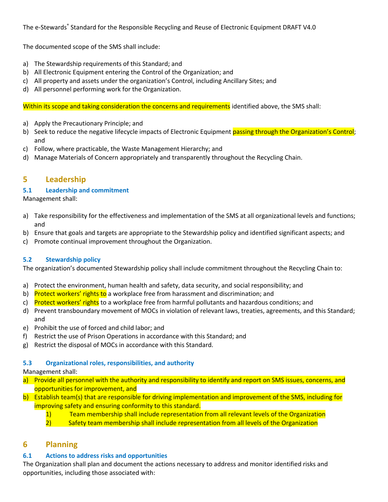The documented scope of the SMS shall include:

- a) The Stewardship requirements of this Standard; and
- b) All Electronic Equipment entering the Control of the Organization; and
- c) All property and assets under the organization's Control, including Ancillary Sites; and
- d) All personnel performing work for the Organization.

Within its scope and taking consideration the concerns and requirements identified above, the SMS shall:

- a) Apply the Precautionary Principle; and
- b) Seek to reduce the negative lifecycle impacts of Electronic Equipment passing through the Organization's Control; and
- c) Follow, where practicable, the Waste Management Hierarchy; and
- d) Manage Materials of Concern appropriately and transparently throughout the Recycling Chain.

# **5 Leadership**

## **5.1 Leadership and commitment**

Management shall:

- a) Take responsibility for the effectiveness and implementation of the SMS at all organizational levels and functions; and
- b) Ensure that goals and targets are appropriate to the Stewardship policy and identified significant aspects; and
- c) Promote continual improvement throughout the Organization.

## **5.2 Stewardship policy**

The organization's documented Stewardship policy shall include commitment throughout the Recycling Chain to:

- a) Protect the environment, human health and safety, data security, and social responsibility; and
- b) Protect workers' rights to a workplace free from harassment and discrimination; and
- c) Protect workers' rights to a workplace free from harmful pollutants and hazardous conditions; and
- d) Prevent transboundary movement of MOCs in violation of relevant laws, treaties, agreements, and this Standard; and
- e) Prohibit the use of forced and child labor; and
- f) Restrict the use of Prison Operations in accordance with this Standard; and
- g) Restrict the disposal of MOCs in accordance with this Standard.

## **5.3 Organizational roles, responsibilities, and authority**

#### Management shall:

- a) Provide all personnel with the authority and responsibility to identify and report on SMS issues, concerns, and opportunities for improvement, and
- b) Establish team(s) that are responsible for driving implementation and improvement of the SMS, including for improving safety and ensuring conformity to this standard.
	- 1) Team membership shall include representation from all relevant levels of the Organization
	- 2) Safety team membership shall include representation from all levels of the Organization

# **6 Planning**

## **6.1 Actions to address risks and opportunities**

The Organization shall plan and document the actions necessary to address and monitor identified risks and opportunities, including those associated with: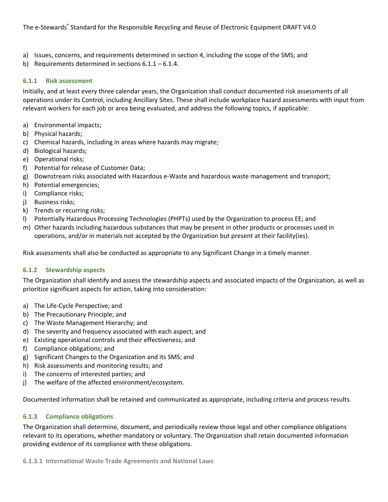- a) Issues, concerns, and requirements determined in section 4, including the scope of the SMS; and
- b) Requirements determined in sections 6.1.1 6.1.4.

#### **6.1.1 Risk assessment**

Initially, and at least every three calendar years, the Organization shall conduct documented risk assessments of all operations under its Control, including Ancillary Sites. These shall include workplace hazard assessments with input from relevant workers for each job or area being evaluated, and address the following topics, if applicable:

- a) Environmental impacts;
- b) Physical hazards;
- c) Chemical hazards, including in areas where hazards may migrate;
- d) Biological hazards;
- e) Operational risks;
- f) Potential for release of Customer Data;
- g) Downstream risks associated with Hazardous e-Waste and hazardous waste management and transport;
- h) Potential emergencies;
- i) Compliance risks;
- j) Business risks;
- k) Trends or recurring risks;
- l) Potentially Hazardous Processing Technologies (PHPTs) used by the Organization to process EE; and
- m) Other hazards including hazardous substances that may be present in other products or processes used in operations, and/or in materials not accepted by the Organization but present at their facility(ies).

Risk assessments shall also be conducted as appropriate to any Significant Change in a timely manner.

#### **6.1.2 Stewardship aspects**

The Organization shall identify and assess the stewardship aspects and associated impacts of the Organization, as well as prioritize significant aspects for action, taking into consideration:

- a) The Life-Cycle Perspective; and
- b) The Precautionary Principle; and
- c) The Waste Management Hierarchy; and
- d) The severity and frequency associated with each aspect; and
- e) Existing operational controls and their effectiveness; and
- f) Compliance obligations; and
- g) Significant Changes to the Organization and its SMS; and
- h) Risk assessments and monitoring results; and
- i) The concerns of interested parties; and
- j) The welfare of the affected environment/ecosystem.

Documented information shall be retained and communicated as appropriate, including criteria and process results.

## **6.1.3 Compliance obligations**

The Organization shall determine, document, and periodically review those legal and other compliance obligations relevant to its operations, whether mandatory or voluntary. The Organization shall retain documented information providing evidence of its compliance with these obligations.

#### **6.1.3.1 International Waste Trade Agreements and National Laws**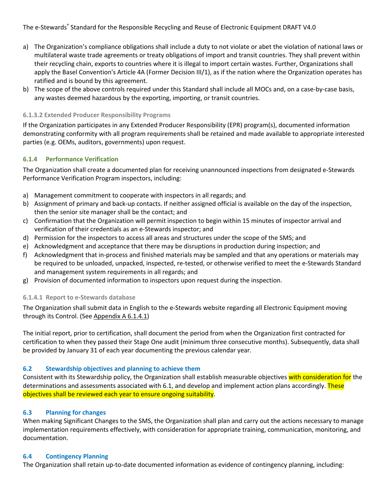- a) The Organization's compliance obligations shall include a duty to not violate or abet the violation of national laws or multilateral waste trade agreements or treaty obligations of import and transit countries. They shall prevent within their recycling chain, exports to countries where it is illegal to import certain wastes. Further, Organizations shall apply the Basel Convention's Article 4A (Former Decision III/1), as if the nation where the Organization operates has ratified and is bound by this agreement.
- b) The scope of the above controls required under this Standard shall include all MOCs and, on a case-by-case basis, any wastes deemed hazardous by the exporting, importing, or transit countries.

## **6.1.3.2 Extended Producer Responsibility Programs**

If the Organization participates in any Extended Producer Responsibility (EPR) program(s), documented information demonstrating conformity with all program requirements shall be retained and made available to appropriate interested parties (e.g. OEMs, auditors, governments) upon request.

# **6.1.4 Performance Verification**

The Organization shall create a documented plan for receiving unannounced inspections from designated e-Stewards Performance Verification Program inspectors, including:

- a) Management commitment to cooperate with inspectors in all regards; and
- b) Assignment of primary and back-up contacts. If neither assigned official is available on the day of the inspection, then the senior site manager shall be the contact; and
- c) Confirmation that the Organization will permit inspection to begin within 15 minutes of inspector arrival and verification of their credentials as an e-Stewards inspector; and
- d) Permission for the inspectors to access all areas and structures under the scope of the SMS; and
- e) Acknowledgment and acceptance that there may be disruptions in production during inspection; and
- f) Acknowledgment that in-process and finished materials may be sampled and that any operations or materials may be required to be unloaded, unpacked, inspected, re-tested, or otherwise verified to meet the e-Stewards Standard and management system requirements in all regards; and
- g) Provision of documented information to inspectors upon request during the inspection.

## **6.1.4.1 Report to e-Stewards database**

The Organization shall submit data in English to the e-Stewards website regarding all Electronic Equipment moving through its Control. (See Appendix A 6.1.4.1)

The initial report, prior to certification, shall document the period from when the Organization first contracted for certification to when they passed their Stage One audit (minimum three consecutive months). Subsequently, data shall be provided by January 31 of each year documenting the previous calendar year.

## **6.2 Stewardship objectives and planning to achieve them**

Consistent with its Stewardship policy, the Organization shall establish measurable objectives with consideration for the determinations and assessments associated with 6.1, and develop and implement action plans accordingly. These objectives shall be reviewed each year to ensure ongoing suitability.

## **6.3 Planning for changes**

When making Significant Changes to the SMS, the Organization shall plan and carry out the actions necessary to manage implementation requirements effectively, with consideration for appropriate training, communication, monitoring, and documentation.

## **6.4 Contingency Planning**

The Organization shall retain up-to-date documented information as evidence of contingency planning, including: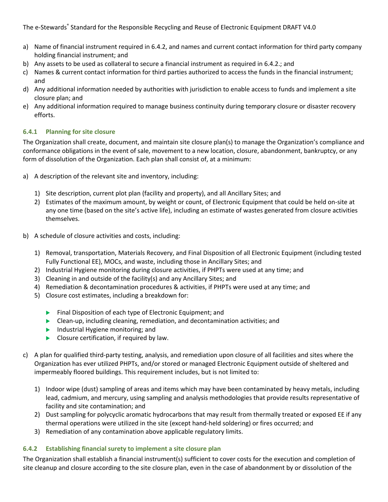- a) Name of financial instrument required in 6.4.2, and names and current contact information for third party company holding financial instrument; and
- b) Any assets to be used as collateral to secure a financial instrument as required in 6.4.2.; and
- c) Names & current contact information for third parties authorized to access the funds in the financial instrument; and
- d) Any additional information needed by authorities with jurisdiction to enable access to funds and implement a site closure plan; and
- e) Any additional information required to manage business continuity during temporary closure or disaster recovery efforts.

## **6.4.1 Planning for site closure**

The Organization shall create, document, and maintain site closure plan(s) to manage the Organization's compliance and conformance obligations in the event of sale, movement to a new location, closure, abandonment, bankruptcy, or any form of dissolution of the Organization. Each plan shall consist of, at a minimum:

- a) A description of the relevant site and inventory, including:
	- 1) Site description, current plot plan (facility and property), and all Ancillary Sites; and
	- 2) Estimates of the maximum amount, by weight or count, of Electronic Equipment that could be held on-site at any one time (based on the site's active life), including an estimate of wastes generated from closure activities themselves.
- b) A schedule of closure activities and costs, including:
	- 1) Removal, transportation, Materials Recovery, and Final Disposition of all Electronic Equipment (including tested Fully Functional EE), MOCs, and waste, including those in Ancillary Sites; and
	- 2) Industrial Hygiene monitoring during closure activities, if PHPTs were used at any time; and
	- 3) Cleaning in and outside of the facility(s) and any Ancillary Sites; and
	- 4) Remediation & decontamination procedures & activities, if PHPTs were used at any time; and
	- 5) Closure cost estimates, including a breakdown for:
		- $\blacktriangleright$  Final Disposition of each type of Electronic Equipment; and
		- **D** Clean-up, including cleaning, remediation, and decontamination activities; and
		- $\blacktriangleright$  Industrial Hygiene monitoring; and
		- $\blacktriangleright$  Closure certification, if required by law.
- c) A plan for qualified third-party testing, analysis, and remediation upon closure of all facilities and sites where the Organization has ever utilized PHPTs, and/or stored or managed Electronic Equipment outside of sheltered and impermeably floored buildings. This requirement includes, but is not limited to:
	- 1) Indoor wipe (dust) sampling of areas and items which may have been contaminated by heavy metals, including lead, cadmium, and mercury, using sampling and analysis methodologies that provide results representative of facility and site contamination; and
	- 2) Dust sampling for polycyclic aromatic hydrocarbons that may result from thermally treated or exposed EE if any thermal operations were utilized in the site (except hand-held soldering) or fires occurred; and
	- 3) Remediation of any contamination above applicable regulatory limits.

## **6.4.2 Establishing financial surety to implement a site closure plan**

The Organization shall establish a financial instrument(s) sufficient to cover costs for the execution and completion of site cleanup and closure according to the site closure plan, even in the case of abandonment by or dissolution of the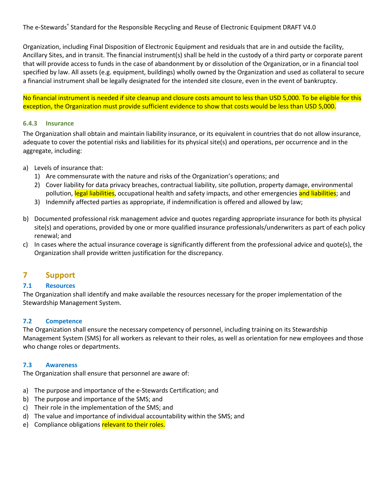Organization, including Final Disposition of Electronic Equipment and residuals that are in and outside the facility, Ancillary Sites, and in transit. The financial instrument(s) shall be held in the custody of a third party or corporate parent that will provide access to funds in the case of abandonment by or dissolution of the Organization, or in a financial tool specified by law. All assets (e.g. equipment, buildings) wholly owned by the Organization and used as collateral to secure a financial instrument shall be legally designated for the intended site closure, even in the event of bankruptcy.

No financial instrument is needed if site cleanup and closure costs amount to less than USD 5,000. To be eligible for this exception, the Organization must provide sufficient evidence to show that costs would be less than USD 5,000.

#### **6.4.3 Insurance**

The Organization shall obtain and maintain liability insurance, or its equivalent in countries that do not allow insurance, adequate to cover the potential risks and liabilities for its physical site(s) and operations, per occurrence and in the aggregate, including:

- a) Levels of insurance that:
	- 1) Are commensurate with the nature and risks of the Organization's operations; and
	- 2) Cover liability for data privacy breaches, contractual liability, site pollution, property damage, environmental pollution, legal liabilities, occupational health and safety impacts, and other emergencies and liabilities; and
	- 3) Indemnify affected parties as appropriate, if indemnification is offered and allowed by law;
- b) Documented professional risk management advice and quotes regarding appropriate insurance for both its physical site(s) and operations, provided by one or more qualified insurance professionals/underwriters as part of each policy renewal; and
- c) In cases where the actual insurance coverage is significantly different from the professional advice and quote(s), the Organization shall provide written justification for the discrepancy.

# **7 Support**

#### **7.1 Resources**

The Organization shall identify and make available the resources necessary for the proper implementation of the Stewardship Management System.

#### **7.2 Competence**

The Organization shall ensure the necessary competency of personnel, including training on its Stewardship Management System (SMS) for all workers as relevant to their roles, as well as orientation for new employees and those who change roles or departments.

#### **7.3 Awareness**

The Organization shall ensure that personnel are aware of:

- a) The purpose and importance of the e-Stewards Certification; and
- b) The purpose and importance of the SMS; and
- c) Their role in the implementation of the SMS; and
- d) The value and importance of individual accountability within the SMS; and
- e) Compliance obligations relevant to their roles.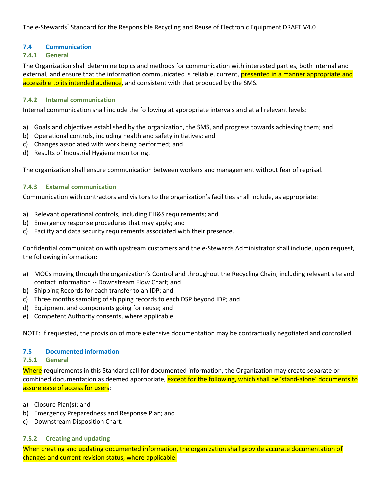# **7.4 Communication**

# **7.4.1 General**

The Organization shall determine topics and methods for communication with interested parties, both internal and external, and ensure that the information communicated is reliable, current, presented in a manner appropriate and accessible to its intended audience, and consistent with that produced by the SMS.

## **7.4.2 Internal communication**

Internal communication shall include the following at appropriate intervals and at all relevant levels:

- a) Goals and objectives established by the organization, the SMS, and progress towards achieving them; and
- b) Operational controls, including health and safety initiatives; and
- c) Changes associated with work being performed; and
- d) Results of Industrial Hygiene monitoring.

The organization shall ensure communication between workers and management without fear of reprisal.

# **7.4.3 External communication**

Communication with contractors and visitors to the organization's facilities shall include, as appropriate:

- a) Relevant operational controls, including EH&S requirements; and
- b) Emergency response procedures that may apply; and
- c) Facility and data security requirements associated with their presence.

Confidential communication with upstream customers and the e-Stewards Administrator shall include, upon request, the following information:

- a) MOCs moving through the organization's Control and throughout the Recycling Chain, including relevant site and contact information -- Downstream Flow Chart; and
- b) Shipping Records for each transfer to an IDP; and
- c) Three months sampling of shipping records to each DSP beyond IDP; and
- d) Equipment and components going for reuse; and
- e) Competent Authority consents, where applicable.

NOTE: If requested, the provision of more extensive documentation may be contractually negotiated and controlled.

## **7.5 Documented information**

## **7.5.1 General**

Where requirements in this Standard call for documented information, the Organization may create separate or combined documentation as deemed appropriate, except for the following, which shall be 'stand-alone' documents to assure ease of access for users:

- a) Closure Plan(s); and
- b) Emergency Preparedness and Response Plan; and
- c) Downstream Disposition Chart.

# **7.5.2 Creating and updating**

When creating and updating documented information, the organization shall provide accurate documentation of changes and current revision status, where applicable.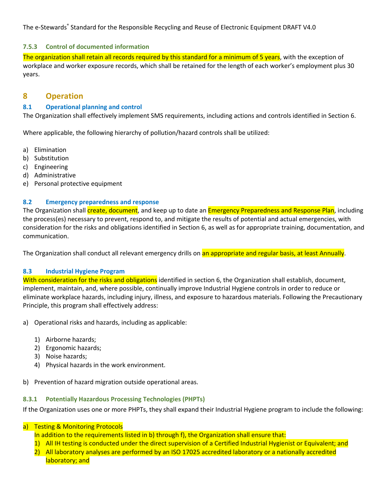# **7.5.3 Control of documented information**

The organization shall retain all records required by this standard for a minimum of 5 years, with the exception of workplace and worker exposure records, which shall be retained for the length of each worker's employment plus 30 years.

# **8 Operation**

# **8.1 Operational planning and control**

The Organization shall effectively implement SMS requirements, including actions and controls identified in Section 6.

Where applicable, the following hierarchy of pollution/hazard controls shall be utilized:

- a) Elimination
- b) Substitution
- c) Engineering
- d) Administrative
- e) Personal protective equipment

# **8.2 Emergency preparedness and response**

The Organization shall *create, document*, and keep up to date an *Emergency Preparedness and Response Plan*, including the process(es) necessary to prevent, respond to, and mitigate the results of potential and actual emergencies, with consideration for the risks and obligations identified in Section 6, as well as for appropriate training, documentation, and communication.

The Organization shall conduct all relevant emergency drills on an appropriate and regular basis, at least Annually.

# **8.3 Industrial Hygiene Program**

With consideration for the risks and obligations identified in section 6, the Organization shall establish, document, implement, maintain, and, where possible, continually improve Industrial Hygiene controls in order to reduce or eliminate workplace hazards, including injury, illness, and exposure to hazardous materials. Following the Precautionary Principle, this program shall effectively address:

- a) Operational risks and hazards, including as applicable:
	- 1) Airborne hazards;
	- 2) Ergonomic hazards;
	- 3) Noise hazards;
	- 4) Physical hazards in the work environment.
- b) Prevention of hazard migration outside operational areas.

## **8.3.1 Potentially Hazardous Processing Technologies (PHPTs)**

If the Organization uses one or more PHPTs, they shall expand their Industrial Hygiene program to include the following:

- a) Testing & Monitoring Protocols
	- In addition to the requirements listed in b) through f), the Organization shall ensure that:
	- 1) All IH testing is conducted under the direct supervision of a Certified Industrial Hygienist or Equivalent; and
	- 2) All laboratory analyses are performed by an ISO 17025 accredited laboratory or a nationally accredited laboratory; and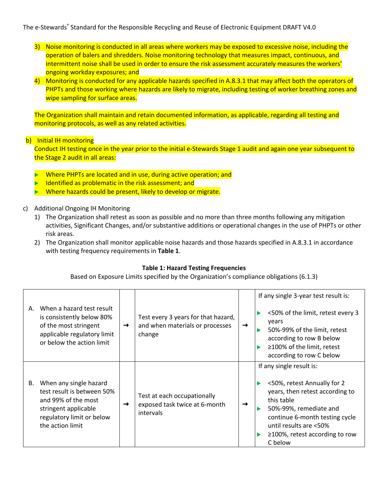- 3) Noise monitoring is conducted in all areas where workers may be exposed to excessive noise, including the operation of balers and shredders. Noise monitoring technology that measures impact, continuous, and intermittent noise shall be used in order to ensure the risk assessment accurately measures the workers' ongoing workday exposures; and
- 4) Monitoring is conducted for any applicable hazards specified in A.8.3.1 that may affect both the operators of PHPTs and those working where hazards are likely to migrate, including testing of worker breathing zones and wipe sampling for surface areas.

The Organization shall maintain and retain documented information, as applicable, regarding all testing and monitoring protocols, as well as any related activities.

# b) Initial IH monitoring

Conduct IH testing once in the year prior to the initial e-Stewards Stage 1 audit and again one year subsequent to the Stage 2 audit in all areas:

- Where PHPTs are located and in use, during active operation; and
- Identified as problematic in the risk assessment; and
- Where hazards could be present, likely to develop or migrate.

# c) Additional Ongoing IH Monitoring

- 1) The Organization shall retest as soon as possible and no more than three months following any mitigation activities, Significant Changes, and/or substantive additions or operational changes in the use of PHPTs or other risk areas.
- 2) The Organization shall monitor applicable noise hazards and those hazards specified in A.8.3.1 in accordance with testing frequency requirements in **Table 1**.

## **Table 1: Hazard Testing Frequencies**

Based on Exposure Limits specified by the Organization's compliance obligations (6.1.3)

| А. | When a hazard test result<br>is consistently below 80%<br>of the most stringent<br>applicable regulatory limit<br>or below the action limit          | $\rightarrow$ | Test every 3 years for that hazard,<br>and when materials or processes<br>change | $\rightarrow$ | If any single 3-year test result is:<br><50% of the limit, retest every 3<br>years<br>50%-99% of the limit, retest<br>according to row B below<br>≥100% of the limit, retest<br>ь<br>according to row C below                                     |
|----|------------------------------------------------------------------------------------------------------------------------------------------------------|---------------|----------------------------------------------------------------------------------|---------------|---------------------------------------------------------------------------------------------------------------------------------------------------------------------------------------------------------------------------------------------------|
| В. | When any single hazard<br>test result is between 50%<br>and 99% of the most<br>stringent applicable<br>regulatory limit or below<br>the action limit | →             | Test at each occupationally<br>exposed task twice at 6-month<br>intervals        | →             | If any single result is:<br><50%, retest Annually for 2<br>years, then retest according to<br>this table<br>50%-99%, remediate and<br>continue 6-month testing cycle<br>until results are <50%<br>$\geq$ 100%, retest according to row<br>C below |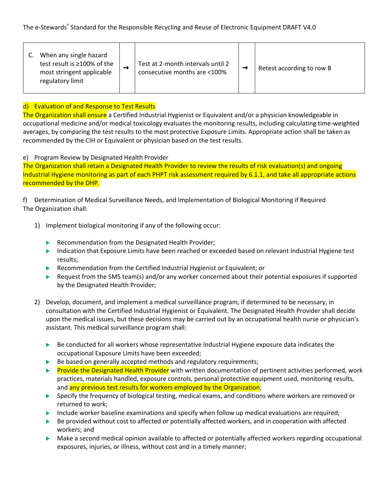|  | When any single hazard<br>test result is ≥100% of the<br>most stringent applicable<br>regulatory limit |  | Test at 2-month intervals until 2<br>consecutive months are <100% |  | Retest according to row B |
|--|--------------------------------------------------------------------------------------------------------|--|-------------------------------------------------------------------|--|---------------------------|
|--|--------------------------------------------------------------------------------------------------------|--|-------------------------------------------------------------------|--|---------------------------|

# d) Evaluation of and Response to Test Results

The Organization shall ensure a Certified Industrial Hygienist or Equivalent and/or a physician knowledgeable in occupational medicine and/or medical toxicology evaluates the monitoring results, including calculating time-weighted averages, by comparing the test results to the most protective Exposure Limits. Appropriate action shall be taken as recommended by the CIH or Equivalent or physician based on the test results.

## e) Program Review by Designated Health Provider

The Organization shall retain a Designated Health Provider to review the results of risk evaluation(s) and ongoing Industrial Hygiene monitoring as part of each PHPT risk assessment required by 6.1.1, and take all appropriate actions recommended by the DHP.

f) Determination of Medical Surveillance Needs, and Implementation of Biological Monitoring if Required The Organization shall:

- 1) Implement biological monitoring if any of the following occur:
	- $\blacktriangleright$  Recommendation from the Designated Health Provider;
	- Indication that Exposure Limits have been reached or exceeded based on relevant Industrial Hygiene test results;
	- Recommendation from the Certified Industrial Hygienist or Equivalent; or
	- Request from the SMS team(s) and/or any worker concerned about their potential exposures if supported by the Designated Health Provider;
- 2) Develop, document, and implement a medical surveillance program, if determined to be necessary, in consultation with the Certified Industrial Hygienist or Equivalent. The Designated Health Provider shall decide upon the medical issues, but these decisions may be carried out by an occupational health nurse or physician's assistant. This medical surveillance program shall:
	- $\blacktriangleright$  Be conducted for all workers whose representative Industrial Hygiene exposure data indicates the occupational Exposure Limits have been exceeded;
	- $\blacktriangleright$  Be based on generally accepted methods and regulatory requirements;
	- **Provide the Designated Health Provider** with written documentation of pertinent activities performed, work practices, materials handled, exposure controls, personal protective equipment used, monitoring results, and any previous test results for workers employed by the Organization;
	- **D** Specify the frequency of biological testing, medical exams, and conditions where workers are removed or returned to work;
	- Include worker baseline examinations and specify when follow up medical evaluations are required;
	- $\blacktriangleright$  Be provided without cost to affected or potentially affected workers, and in cooperation with affected workers; and
	- $\blacktriangleright$  Make a second medical opinion available to affected or potentially affected workers regarding occupational exposures, injuries, or illness, without cost and in a timely manner;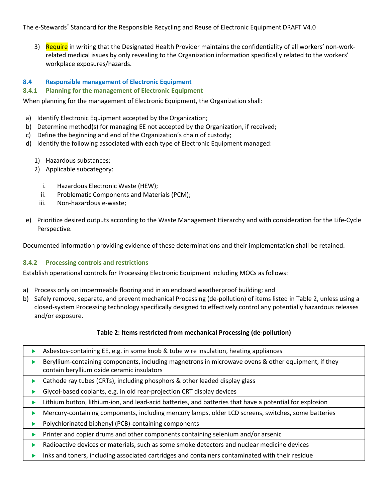3) Require in writing that the Designated Health Provider maintains the confidentiality of all workers' non-workrelated medical issues by only revealing to the Organization information specifically related to the workers' workplace exposures/hazards.

## **8.4 Responsible management of Electronic Equipment**

#### **8.4.1 Planning for the management of Electronic Equipment**

When planning for the management of Electronic Equipment, the Organization shall:

- a) Identify Electronic Equipment accepted by the Organization;
- b) Determine method(s) for managing EE not accepted by the Organization, if received;
- c) Define the beginning and end of the Organization's chain of custody;
- d) Identify the following associated with each type of Electronic Equipment managed:
	- 1) Hazardous substances;
	- 2) Applicable subcategory:
		- i. Hazardous Electronic Waste (HEW);
		- ii. Problematic Components and Materials (PCM);
		- iii. Non-hazardous e-waste;
- e) Prioritize desired outputs according to the Waste Management Hierarchy and with consideration for the Life-Cycle Perspective.

Documented information providing evidence of these determinations and their implementation shall be retained.

#### **8.4.2 Processing controls and restrictions**

Establish operational controls for Processing Electronic Equipment including MOCs as follows:

- a) Process only on impermeable flooring and in an enclosed weatherproof building; and
- b) Safely remove, separate, and prevent mechanical Processing (de-pollution) of items listed in Table 2, unless using a closed-system Processing technology specifically designed to effectively control any potentially hazardous releases and/or exposure.

#### **Table 2: Items restricted from mechanical Processing (de-pollution)**

| Asbestos-containing EE, e.g. in some knob & tube wire insulation, heating appliances                                                              |
|---------------------------------------------------------------------------------------------------------------------------------------------------|
| Beryllium-containing components, including magnetrons in microwave ovens & other equipment, if they<br>contain beryllium oxide ceramic insulators |
| Cathode ray tubes (CRTs), including phosphors & other leaded display glass                                                                        |
| Glycol-based coolants, e.g. in old rear-projection CRT display devices                                                                            |
| Lithium button, lithium-ion, and lead-acid batteries, and batteries that have a potential for explosion                                           |
| Mercury-containing components, including mercury lamps, older LCD screens, switches, some batteries                                               |
| Polychlorinated biphenyl (PCB)-containing components                                                                                              |
| Printer and copier drums and other components containing selenium and/or arsenic                                                                  |
| Radioactive devices or materials, such as some smoke detectors and nuclear medicine devices                                                       |
| Inks and toners, including associated cartridges and containers contaminated with their residue                                                   |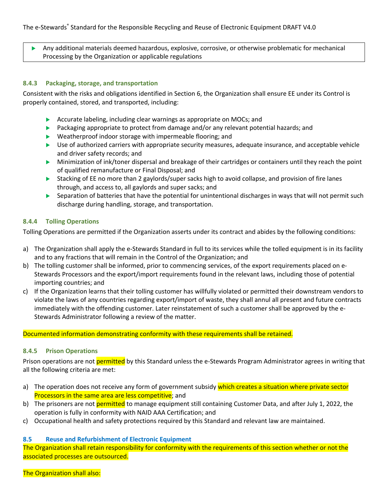Any additional materials deemed hazardous, explosive, corrosive, or otherwise problematic for mechanical Processing by the Organization or applicable regulations

## **8.4.3 Packaging, storage, and transportation**

Consistent with the risks and obligations identified in Section 6, the Organization shall ensure EE under its Control is properly contained, stored, and transported, including:

- $\blacktriangleright$  Accurate labeling, including clear warnings as appropriate on MOCs; and
- $\blacktriangleright$  Packaging appropriate to protect from damage and/or any relevant potential hazards; and
- $\blacktriangleright$  Weatherproof indoor storage with impermeable flooring; and
- $\blacktriangleright$  Use of authorized carriers with appropriate security measures, adequate insurance, and acceptable vehicle and driver safety records; and
- $\triangleright$  Minimization of ink/toner dispersal and breakage of their cartridges or containers until they reach the point of qualified remanufacture or Final Disposal; and
- Stacking of EE no more than 2 gaylords/super sacks high to avoid collapse, and provision of fire lanes through, and access to, all gaylords and super sacks; and
- $\triangleright$  Separation of batteries that have the potential for unintentional discharges in ways that will not permit such discharge during handling, storage, and transportation.

#### **8.4.4 Tolling Operations**

Tolling Operations are permitted if the Organization asserts under its contract and abides by the following conditions:

- a) The Organization shall apply the e-Stewards Standard in full to its services while the tolled equipment is in its facility and to any fractions that will remain in the Control of the Organization; and
- b) The tolling customer shall be informed, prior to commencing services, of the export requirements placed on e-Stewards Processors and the export/import requirements found in the relevant laws, including those of potential importing countries; and
- c) If the Organization learns that their tolling customer has willfully violated or permitted their downstream vendors to violate the laws of any countries regarding export/import of waste, they shall annul all present and future contracts immediately with the offending customer. Later reinstatement of such a customer shall be approved by the e-Stewards Administrator following a review of the matter.

Documented information demonstrating conformity with these requirements shall be retained.

#### **8.4.5 Prison Operations**

Prison operations are not permitted by this Standard unless the e-Stewards Program Administrator agrees in writing that all the following criteria are met:

- a) The operation does not receive any form of government subsidy which creates a situation where private sector Processors in the same area are less competitive; and
- b) The prisoners are not permitted to manage equipment still containing Customer Data, and after July 1, 2022, the operation is fully in conformity with NAID AAA Certification; and
- c) Occupational health and safety protections required by this Standard and relevant law are maintained.

## **8.5 Reuse and Refurbishment of Electronic Equipment**

The Organization shall retain responsibility for conformity with the requirements of this section whether or not the associated processes are outsourced.

The Organization shall also: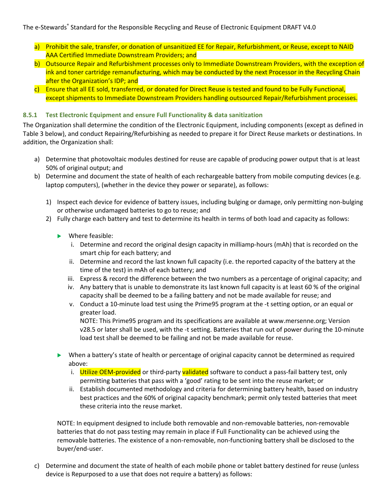- a) Prohibit the sale, transfer, or donation of unsanitized EE for Repair, Refurbishment, or Reuse, except to NAID AAA Certified Immediate Downstream Providers; and
- b) Outsource Repair and Refurbishment processes only to Immediate Downstream Providers, with the exception of ink and toner cartridge remanufacturing, which may be conducted by the next Processor in the Recycling Chain after the Organization's IDP; and
- c) Ensure that all EE sold, transferred, or donated for Direct Reuse is tested and found to be Fully Functional, except shipments to Immediate Downstream Providers handling outsourced Repair/Refurbishment processes.

## **8.5.1 Test Electronic Equipment and ensure Full Functionality & data sanitization**

The Organization shall determine the condition of the Electronic Equipment, including components (except as defined in Table 3 below), and conduct Repairing/Refurbishing as needed to prepare it for Direct Reuse markets or destinations. In addition, the Organization shall:

- a) Determine that photovoltaic modules destined for reuse are capable of producing power output that is at least 50% of original output; and
- b) Determine and document the state of health of each rechargeable battery from mobile computing devices (e.g. laptop computers), (whether in the device they power or separate), as follows:
	- 1) Inspect each device for evidence of battery issues, including bulging or damage, only permitting non-bulging or otherwise undamaged batteries to go to reuse; and
	- 2) Fully charge each battery and test to determine its health in terms of both load and capacity as follows:
		- $\blacktriangleright$  Where feasible:
			- i. Determine and record the original design capacity in milliamp-hours (mAh) that is recorded on the smart chip for each battery; and
			- ii. Determine and record the last known full capacity (i.e. the reported capacity of the battery at the time of the test) in mAh of each battery; and
			- iii. Express & record the difference between the two numbers as a percentage of original capacity; and
			- iv. Any battery that is unable to demonstrate its last known full capacity is at least 60 % of the original capacity shall be deemed to be a failing battery and not be made available for reuse; and
			- v. Conduct a 10-minute load test using the Prime95 program at the -t setting option, or an equal or greater load.

NOTE: This Prime95 program and its specifications are available at www.mersenne.org; Version v28.5 or later shall be used, with the -t setting. Batteries that run out of power during the 10-minute load test shall be deemed to be failing and not be made available for reuse.

- $\blacktriangleright$  When a battery's state of health or percentage of original capacity cannot be determined as required above:
	- i. Utilize OEM-provided or third-party validated software to conduct a pass-fail battery test, only permitting batteries that pass with a 'good' rating to be sent into the reuse market; or
	- ii. Establish documented methodology and criteria for determining battery health, based on industry best practices and the 60% of original capacity benchmark; permit only tested batteries that meet these criteria into the reuse market.

NOTE: In equipment designed to include both removable and non-removable batteries, non-removable batteries that do not pass testing may remain in place if Full Functionality can be achieved using the removable batteries. The existence of a non-removable, non-functioning battery shall be disclosed to the buyer/end-user.

c) Determine and document the state of health of each mobile phone or tablet battery destined for reuse (unless device is Repurposed to a use that does not require a battery) as follows: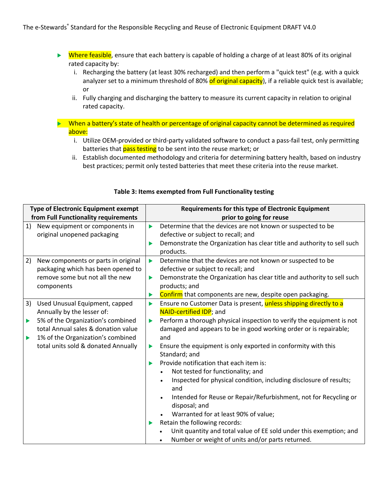- $\triangleright$  Where feasible, ensure that each battery is capable of holding a charge of at least 80% of its original rated capacity by:
	- i. Recharging the battery (at least 30% recharged) and then perform a "quick test" (e.g. with a quick analyzer set to a minimum threshold of 80% of original capacity), if a reliable quick test is available; or
	- ii. Fully charging and discharging the battery to measure its current capacity in relation to original rated capacity.
- $\triangleright$  When a battery's state of health or percentage of original capacity cannot be determined as required above:
	- i. Utilize OEM-provided or third-party validated software to conduct a pass-fail test, only permitting batteries that pass testing to be sent into the reuse market; or
	- ii. Establish documented methodology and criteria for determining battery health, based on industry best practices; permit only tested batteries that meet these criteria into the reuse market.

| <b>Type of Electronic Equipment exempt</b> |                                                                                                                                                                                    | Requirements for this type of Electronic Equipment  |                                                                                                                                                                                                                                                                                                                                                                                                                                               |  |  |
|--------------------------------------------|------------------------------------------------------------------------------------------------------------------------------------------------------------------------------------|-----------------------------------------------------|-----------------------------------------------------------------------------------------------------------------------------------------------------------------------------------------------------------------------------------------------------------------------------------------------------------------------------------------------------------------------------------------------------------------------------------------------|--|--|
|                                            | from Full Functionality requirements                                                                                                                                               |                                                     | prior to going for reuse                                                                                                                                                                                                                                                                                                                                                                                                                      |  |  |
| 1)                                         | New equipment or components in<br>original unopened packaging                                                                                                                      | $\blacktriangleright$                               | Determine that the devices are not known or suspected to be<br>defective or subject to recall; and<br>Demonstrate the Organization has clear title and authority to sell such<br>products.                                                                                                                                                                                                                                                    |  |  |
| 2)                                         | New components or parts in original<br>packaging which has been opened to<br>remove some but not all the new<br>components<br>Used Unusual Equipment, capped                       | $\blacktriangleright$<br>$\blacktriangleright$<br>▶ | Determine that the devices are not known or suspected to be<br>defective or subject to recall; and<br>Demonstrate the Organization has clear title and authority to sell such<br>products; and<br>Confirm that components are new, despite open packaging.<br>Ensure no Customer Data is present, unless shipping directly to a                                                                                                               |  |  |
|                                            | Annually by the lesser of:<br>5% of the Organization's combined<br>total Annual sales & donation value<br>1% of the Organization's combined<br>total units sold & donated Annually | $\blacktriangleright$<br>ь                          | NAID-certified IDP; and<br>Perform a thorough physical inspection to verify the equipment is not<br>damaged and appears to be in good working order or is repairable;<br>and<br>Ensure the equipment is only exported in conformity with this<br>Standard; and<br>Provide notification that each item is:                                                                                                                                     |  |  |
|                                            |                                                                                                                                                                                    | $\blacktriangleright$                               | Not tested for functionality; and<br>$\bullet$<br>Inspected for physical condition, including disclosure of results;<br>and<br>Intended for Reuse or Repair/Refurbishment, not for Recycling or<br>$\bullet$<br>disposal; and<br>Warranted for at least 90% of value;<br>Retain the following records:<br>Unit quantity and total value of EE sold under this exemption; and<br>Number or weight of units and/or parts returned.<br>$\bullet$ |  |  |

## **Table 3: Items exempted from Full Functionality testing**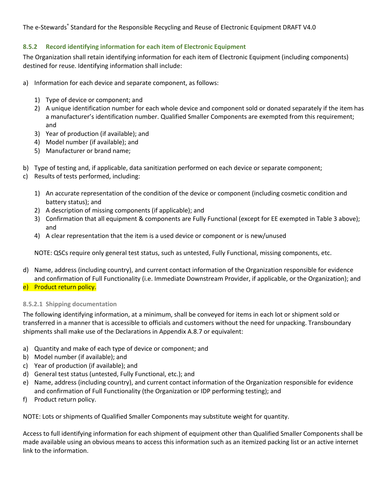# **8.5.2 Record identifying information for each item of Electronic Equipment**

The Organization shall retain identifying information for each item of Electronic Equipment (including components) destined for reuse. Identifying information shall include:

- a) Information for each device and separate component, as follows:
	- 1) Type of device or component; and
	- 2) A unique identification number for each whole device and component sold or donated separately if the item has a manufacturer's identification number. Qualified Smaller Components are exempted from this requirement; and
	- 3) Year of production (if available); and
	- 4) Model number (if available); and
	- 5) Manufacturer or brand name;
- b) Type of testing and, if applicable, data sanitization performed on each device or separate component;
- c) Results of tests performed, including:
	- 1) An accurate representation of the condition of the device or component (including cosmetic condition and battery status); and
	- 2) A description of missing components (if applicable); and
	- 3) Confirmation that all equipment & components are Fully Functional (except for EE exempted in Table 3 above); and
	- 4) A clear representation that the item is a used device or component or is new/unused

NOTE: QSCs require only general test status, such as untested, Fully Functional, missing components, etc.

- d) Name, address (including country), and current contact information of the Organization responsible for evidence and confirmation of Full Functionality (i.e. Immediate Downstream Provider, if applicable, or the Organization); and
- e) Product return policy.

## **8.5.2.1 Shipping documentation**

The following identifying information, at a minimum, shall be conveyed for items in each lot or shipment sold or transferred in a manner that is accessible to officials and customers without the need for unpacking. Transboundary shipments shall make use of the Declarations in Appendix A.8.7 or equivalent:

- a) Quantity and make of each type of device or component; and
- b) Model number (if available); and
- c) Year of production (if available); and
- d) General test status (untested, Fully Functional, etc.); and
- e) Name, address (including country), and current contact information of the Organization responsible for evidence and confirmation of Full Functionality (the Organization or IDP performing testing); and
- f) Product return policy.

NOTE: Lots or shipments of Qualified Smaller Components may substitute weight for quantity.

Access to full identifying information for each shipment of equipment other than Qualified Smaller Components shall be made available using an obvious means to access this information such as an itemized packing list or an active internet link to the information.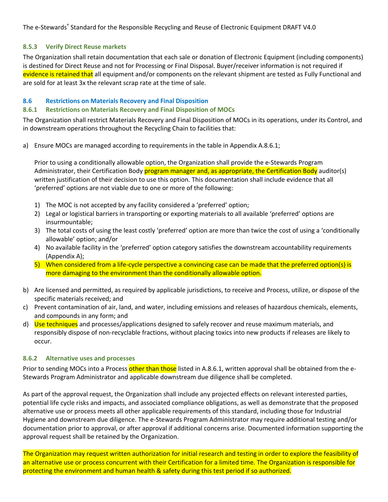## **8.5.3 Verify Direct Reuse markets**

The Organization shall retain documentation that each sale or donation of Electronic Equipment (including components) is destined for Direct Reuse and not for Processing or Final Disposal. Buyer/receiver information is not required if evidence is retained that all equipment and/or components on the relevant shipment are tested as Fully Functional and are sold for at least 3x the relevant scrap rate at the time of sale.

## **8.6 Restrictions on Materials Recovery and Final Disposition**

# **8.6.1 Restrictions on Materials Recovery and Final Disposition of MOCs**

The Organization shall restrict Materials Recovery and Final Disposition of MOCs in its operations, under its Control, and in downstream operations throughout the Recycling Chain to facilities that:

a) Ensure MOCs are managed according to requirements in the table in Appendix A.8.6.1;

Prior to using a conditionally allowable option, the Organization shall provide the e-Stewards Program Administrator, their Certification Body program manager and, as appropriate, the Certification Body auditor(s) written justification of their decision to use this option. This documentation shall include evidence that all 'preferred' options are not viable due to one or more of the following:

- 1) The MOC is not accepted by any facility considered a 'preferred' option;
- 2) Legal or logistical barriers in transporting or exporting materials to all available 'preferred' options are insurmountable;
- 3) The total costs of using the least costly 'preferred' option are more than twice the cost of using a 'conditionally allowable' option; and/or
- 4) No available facility in the 'preferred' option category satisfies the downstream accountability requirements (Appendix A);
- 5) When considered from a life-cycle perspective a convincing case can be made that the preferred option(s) is more damaging to the environment than the conditionally allowable option.
- b) Are licensed and permitted, as required by applicable jurisdictions, to receive and Process, utilize, or dispose of the specific materials received; and
- c) Prevent contamination of air, land, and water, including emissions and releases of hazardous chemicals, elements, and compounds in any form; and
- d) Use techniques and processes/applications designed to safely recover and reuse maximum materials, and responsibly dispose of non-recyclable fractions, without placing toxics into new products if releases are likely to occur.

## **8.6.2 Alternative uses and processes**

Prior to sending MOCs into a Process other than those listed in A.8.6.1, written approval shall be obtained from the e-Stewards Program Administrator and applicable downstream due diligence shall be completed.

As part of the approval request, the Organization shall include any projected effects on relevant interested parties, potential life cycle risks and impacts, and associated compliance obligations, as well as demonstrate that the proposed alternative use or process meets all other applicable requirements of this standard, including those for Industrial Hygiene and downstream due diligence. The e-Stewards Program Administrator may require additional testing and/or documentation prior to approval, or after approval if additional concerns arise. Documented information supporting the approval request shall be retained by the Organization.

The Organization may request written authorization for initial research and testing in order to explore the feasibility of an alternative use or process concurrent with their Certification for a limited time. The Organization is responsible for protecting the environment and human health & safety during this test period if so authorized.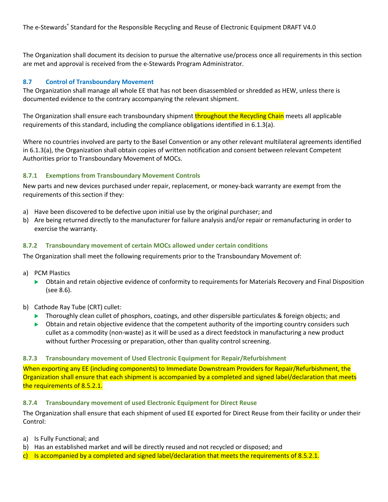The Organization shall document its decision to pursue the alternative use/process once all requirements in this section are met and approval is received from the e-Stewards Program Administrator.

# **8.7 Control of Transboundary Movement**

The Organization shall manage all whole EE that has not been disassembled or shredded as HEW, unless there is documented evidence to the contrary accompanying the relevant shipment.

The Organization shall ensure each transboundary shipment throughout the Recycling Chain meets all applicable requirements of this standard, including the compliance obligations identified in 6.1.3(a).

Where no countries involved are party to the Basel Convention or any other relevant multilateral agreements identified in 6.1.3(a), the Organization shall obtain copies of written notification and consent between relevant Competent Authorities prior to Transboundary Movement of MOCs.

## **8.7.1 Exemptions from Transboundary Movement Controls**

New parts and new devices purchased under repair, replacement, or money-back warranty are exempt from the requirements of this section if they:

- a) Have been discovered to be defective upon initial use by the original purchaser; and
- b) Are being returned directly to the manufacturer for failure analysis and/or repair or remanufacturing in order to exercise the warranty.

## **8.7.2 Transboundary movement of certain MOCs allowed under certain conditions**

The Organization shall meet the following requirements prior to the Transboundary Movement of:

- a) PCM Plastics
	- u Obtain and retain objective evidence of conformity to requirements for Materials Recovery and Final Disposition (see 8.6).
- b) Cathode Ray Tube (CRT) cullet:
	- $\triangleright$  Thoroughly clean cullet of phosphors, coatings, and other dispersible particulates & foreign objects; and
	- $\triangleright$  Obtain and retain objective evidence that the competent authority of the importing country considers such cullet as a commodity (non-waste) as it will be used as a direct feedstock in manufacturing a new product without further Processing or preparation, other than quality control screening.

#### **8.7.3 Transboundary movement of Used Electronic Equipment for Repair/Refurbishment**

When exporting any EE (including components) to Immediate Downstream Providers for Repair/Refurbishment, the Organization shall ensure that each shipment is accompanied by a completed and signed label/declaration that meets the requirements of 8.5.2.1.

## **8.7.4 Transboundary movement of used Electronic Equipment for Direct Reuse**

The Organization shall ensure that each shipment of used EE exported for Direct Reuse from their facility or under their Control:

- a) Is Fully Functional; and
- b) Has an established market and will be directly reused and not recycled or disposed; and
- c) Is accompanied by a completed and signed label/declaration that meets the requirements of 8.5.2.1.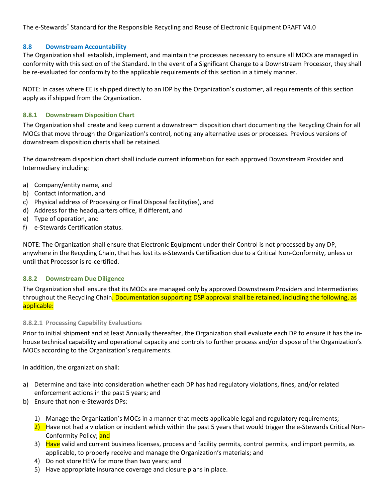# **8.8 Downstream Accountability**

The Organization shall establish, implement, and maintain the processes necessary to ensure all MOCs are managed in conformity with this section of the Standard. In the event of a Significant Change to a Downstream Processor, they shall be re-evaluated for conformity to the applicable requirements of this section in a timely manner.

NOTE: In cases where EE is shipped directly to an IDP by the Organization's customer, all requirements of this section apply as if shipped from the Organization.

# **8.8.1 Downstream Disposition Chart**

The Organization shall create and keep current a downstream disposition chart documenting the Recycling Chain for all MOCs that move through the Organization's control, noting any alternative uses or processes. Previous versions of downstream disposition charts shall be retained.

The downstream disposition chart shall include current information for each approved Downstream Provider and Intermediary including:

- a) Company/entity name, and
- b) Contact information, and
- c) Physical address of Processing or Final Disposal facility(ies), and
- d) Address for the headquarters office, if different, and
- e) Type of operation, and
- f) e-Stewards Certification status.

NOTE: The Organization shall ensure that Electronic Equipment under their Control is not processed by any DP, anywhere in the Recycling Chain, that has lost its e-Stewards Certification due to a Critical Non-Conformity, unless or until that Processor is re-certified.

## **8.8.2 Downstream Due Diligence**

The Organization shall ensure that its MOCs are managed only by approved Downstream Providers and Intermediaries throughout the Recycling Chain. Documentation supporting DSP approval shall be retained, including the following, as applicable:

## **8.8.2.1 Processing Capability Evaluations**

Prior to initial shipment and at least Annually thereafter, the Organization shall evaluate each DP to ensure it has the inhouse technical capability and operational capacity and controls to further process and/or dispose of the Organization's MOCs according to the Organization's requirements.

In addition, the organization shall:

- a) Determine and take into consideration whether each DP has had regulatory violations, fines, and/or related enforcement actions in the past 5 years; and
- b) Ensure that non-e-Stewards DPs:
	- 1) Manage the Organization's MOCs in a manner that meets applicable legal and regulatory requirements;
	- 2) Have not had a violation or incident which within the past 5 years that would trigger the e-Stewards Critical Non-Conformity Policy; and
	- 3) Have valid and current business licenses, process and facility permits, control permits, and import permits, as applicable, to properly receive and manage the Organization's materials; and
	- 4) Do not store HEW for more than two years; and
	- 5) Have appropriate insurance coverage and closure plans in place.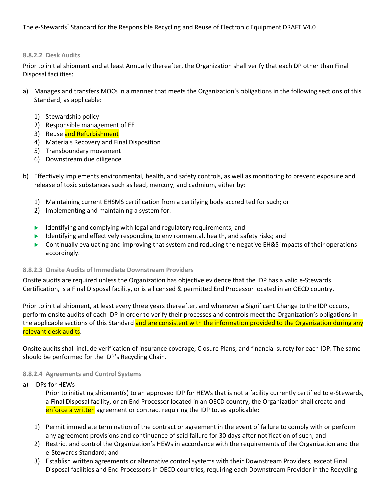#### **8.8.2.2 Desk Audits**

Prior to initial shipment and at least Annually thereafter, the Organization shall verify that each DP other than Final Disposal facilities:

- a) Manages and transfers MOCs in a manner that meets the Organization's obligations in the following sections of this Standard, as applicable:
	- 1) Stewardship policy
	- 2) Responsible management of EE
	- 3) Reuse and Refurbishment
	- 4) Materials Recovery and Final Disposition
	- 5) Transboundary movement
	- 6) Downstream due diligence
- b) Effectively implements environmental, health, and safety controls, as well as monitoring to prevent exposure and release of toxic substances such as lead, mercury, and cadmium, either by:
	- 1) Maintaining current EHSMS certification from a certifying body accredited for such; or
	- 2) Implementing and maintaining a system for:
	- Identifying and complying with legal and regulatory requirements; and
	- $\blacktriangleright$  Identifying and effectively responding to environmental, health, and safety risks; and
	- $\triangleright$  Continually evaluating and improving that system and reducing the negative EH&S impacts of their operations accordingly.

## **8.8.2.3 Onsite Audits of Immediate Downstream Providers**

Onsite audits are required unless the Organization has objective evidence that the IDP has a valid e-Stewards Certification, is a Final Disposal facility, or is a licensed & permitted End Processor located in an OECD country.

Prior to initial shipment, at least every three years thereafter, and whenever a Significant Change to the IDP occurs, perform onsite audits of each IDP in order to verify their processes and controls meet the Organization's obligations in the applicable sections of this Standard and are consistent with the information provided to the Organization during any relevant desk audits.

Onsite audits shall include verification of insurance coverage, Closure Plans, and financial surety for each IDP. The same should be performed for the IDP's Recycling Chain.

## **8.8.2.4 Agreements and Control Systems**

a) IDPs for HEWs

Prior to initiating shipment(s) to an approved IDP for HEWs that is not a facility currently certified to e-Stewards, a Final Disposal facility, or an End Processor located in an OECD country, the Organization shall create and enforce a written agreement or contract requiring the IDP to, as applicable:

- 1) Permit immediate termination of the contract or agreement in the event of failure to comply with or perform any agreement provisions and continuance of said failure for 30 days after notification of such; and
- 2) Restrict and control the Organization's HEWs in accordance with the requirements of the Organization and the e-Stewards Standard; and
- 3) Establish written agreements or alternative control systems with their Downstream Providers, except Final Disposal facilities and End Processors in OECD countries, requiring each Downstream Provider in the Recycling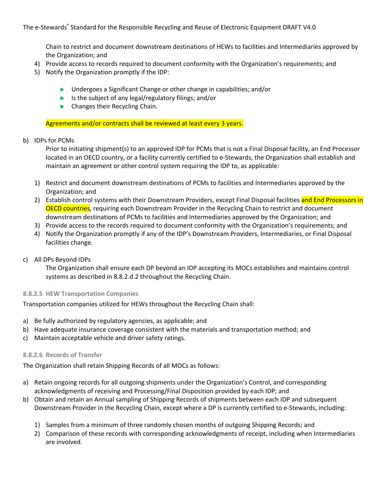Chain to restrict and document downstream destinations of HEWs to facilities and Intermediaries approved by the Organization; and

- 4) Provide access to records required to document conformity with the Organization's requirements; and
- 5) Notify the Organization promptly if the IDP:
	- ▶ Undergoes a Significant Change or other change in capabilities; and/or
	- $\blacktriangleright$  Is the subject of any legal/regulatory filings; and/or
	- $\blacktriangleright$  Changes their Recycling Chain.

Agreements and/or contracts shall be reviewed at least every 3 years.

## b) IDPs for PCMs

Prior to initiating shipment(s) to an approved IDP for PCMs that is not a Final Disposal facility, an End Processor located in an OECD country, or a facility currently certified to e-Stewards, the Organization shall establish and maintain an agreement or other control system requiring the IDP to, as applicable:

- 1) Restrict and document downstream destinations of PCMs to facilities and Intermediaries approved by the Organization; and
- 2) Establish control systems with their Downstream Providers, except Final Disposal facilities and End Processors in **OECD countries**, requiring each Downstream Provider in the Recycling Chain to restrict and document downstream destinations of PCMs to facilities and Intermediaries approved by the Organization; and
- 3) Provide access to the records required to document conformity with the Organization's requirements; and
- 4) Notify the Organization promptly if any of the IDP's Downstream Providers, Intermediaries, or Final Disposal facilities change.
- c) All DPs Beyond IDPs

The Organization shall ensure each DP beyond an IDP accepting its MOCs establishes and maintains control systems as described in 8.8.2.d.2 throughout the Recycling Chain.

## **8.8.2.5 HEW Transportation Companies**

Transportation companies utilized for HEWs throughout the Recycling Chain shall:

- a) Be fully authorized by regulatory agencies, as applicable; and
- b) Have adequate insurance coverage consistent with the materials and transportation method; and
- c) Maintain acceptable vehicle and driver safety ratings.

## **8.8.2.6 Records of Transfer**

The Organization shall retain Shipping Records of all MOCs as follows:

- a) Retain ongoing records for all outgoing shipments under the Organization's Control, and corresponding acknowledgments of receiving and Processing/Final Disposition provided by each IDP; and
- b) Obtain and retain an Annual sampling of Shipping Records of shipments between each IDP and subsequent Downstream Provider in the Recycling Chain, except where a DP is currently certified to e-Stewards, including:
	- 1) Samples from a minimum of three randomly chosen months of outgoing Shipping Records; and
	- 2) Comparison of these records with corresponding acknowledgments of receipt, including when Intermediaries are involved.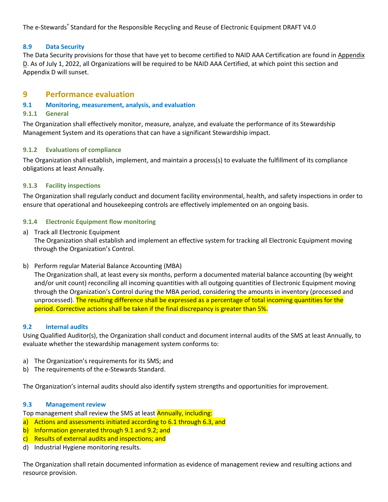# **8.9 Data Security**

The Data Security provisions for those that have yet to become certified to NAID AAA Certification are found in Appendix D. As of July 1, 2022, all Organizations will be required to be NAID AAA Certified, at which point this section and Appendix D will sunset.

# **9 Performance evaluation**

# **9.1 Monitoring, measurement, analysis, and evaluation**

# **9.1.1 General**

The Organization shall effectively monitor, measure, analyze, and evaluate the performance of its Stewardship Management System and its operations that can have a significant Stewardship impact.

# **9.1.2 Evaluations of compliance**

The Organization shall establish, implement, and maintain a process(s) to evaluate the fulfillment of its compliance obligations at least Annually.

# **9.1.3 Facility inspections**

The Organization shall regularly conduct and document facility environmental, health, and safety inspections in order to ensure that operational and housekeeping controls are effectively implemented on an ongoing basis.

# **9.1.4 Electronic Equipment flow monitoring**

a) Track all Electronic Equipment

The Organization shall establish and implement an effective system for tracking all Electronic Equipment moving through the Organization's Control.

b) Perform regular Material Balance Accounting (MBA)

The Organization shall, at least every six months, perform a documented material balance accounting (by weight and/or unit count) reconciling all incoming quantities with all outgoing quantities of Electronic Equipment moving through the Organization's Control during the MBA period, considering the amounts in inventory (processed and unprocessed). The resulting difference shall be expressed as a percentage of total incoming quantities for the period. Corrective actions shall be taken if the final discrepancy is greater than 5%.

## **9.2 Internal audits**

Using Qualified Auditor(s), the Organization shall conduct and document internal audits of the SMS at least Annually, to evaluate whether the stewardship management system conforms to:

- a) The Organization's requirements for its SMS; and
- b) The requirements of the e-Stewards Standard.

The Organization's internal audits should also identify system strengths and opportunities for improvement.

## **9.3 Management review**

Top management shall review the SMS at least Annually, including:

- a) Actions and assessments initiated according to 6.1 through 6.3, and
- b) Information generated through 9.1 and 9.2; and
- c) Results of external audits and inspections; and
- d) Industrial Hygiene monitoring results.

The Organization shall retain documented information as evidence of management review and resulting actions and resource provision.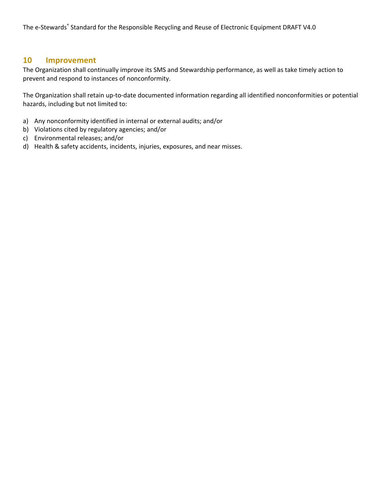# **10 Improvement**

The Organization shall continually improve its SMS and Stewardship performance, as well as take timely action to prevent and respond to instances of nonconformity.

The Organization shall retain up-to-date documented information regarding all identified nonconformities or potential hazards, including but not limited to:

- a) Any nonconformity identified in internal or external audits; and/or
- b) Violations cited by regulatory agencies; and/or
- c) Environmental releases; and/or
- d) Health & safety accidents, incidents, injuries, exposures, and near misses.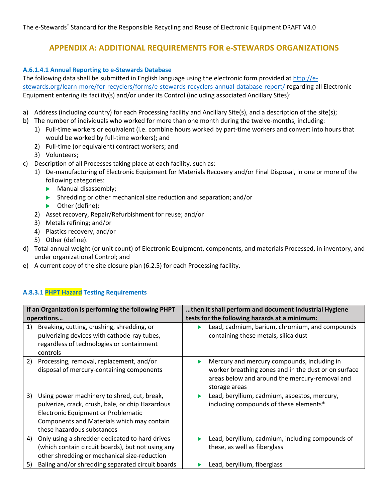# **APPENDIX A: ADDITIONAL REQUIREMENTS FOR e-STEWARDS ORGANIZATIONS**

# **A.6.1.4.1 Annual Reporting to e-Stewards Database**

The following data shall be submitted in English language using the electronic form provided at http://estewards.org/learn-more/for-recyclers/forms/e-stewards-recyclers-annual-database-report/ regarding all Electronic Equipment entering its facility(s) and/or under its Control (including associated Ancillary Sites):

- a) Address (including country) for each Processing facility and Ancillary Site(s), and a description of the site(s);
- b) The number of individuals who worked for more than one month during the twelve-months, including:
	- 1) Full-time workers or equivalent (i.e. combine hours worked by part-time workers and convert into hours that would be worked by full-time workers); and
	- 2) Full-time (or equivalent) contract workers; and
	- 3) Volunteers;
- c) Description of all Processes taking place at each facility, such as:
	- 1) De-manufacturing of Electronic Equipment for Materials Recovery and/or Final Disposal, in one or more of the following categories:
		- $\blacktriangleright$  Manual disassembly;
		- $\blacktriangleright$  Shredding or other mechanical size reduction and separation; and/or
		- $\blacktriangleright$  Other (define);
		- 2) Asset recovery, Repair/Refurbishment for reuse; and/or
		- 3) Metals refining; and/or
		- 4) Plastics recovery, and/or
		- 5) Other (define).
- d) Total annual weight (or unit count) of Electronic Equipment, components, and materials Processed, in inventory, and under organizational Control; and
- e) A current copy of the site closure plan (6.2.5) for each Processing facility.

# **A.8.3.1 PHPT Hazard Testing Requirements**

|    | If an Organization is performing the following PHPT                                                                                                                                                                | then it shall perform and document Industrial Hygiene |                                                                                                                                                                        |  |
|----|--------------------------------------------------------------------------------------------------------------------------------------------------------------------------------------------------------------------|-------------------------------------------------------|------------------------------------------------------------------------------------------------------------------------------------------------------------------------|--|
|    | operations                                                                                                                                                                                                         | tests for the following hazards at a minimum:         |                                                                                                                                                                        |  |
| 1) | Breaking, cutting, crushing, shredding, or<br>pulverizing devices with cathode-ray tubes,<br>regardless of technologies or containment<br>controls                                                                 |                                                       | Lead, cadmium, barium, chromium, and compounds<br>containing these metals, silica dust                                                                                 |  |
| 2) | Processing, removal, replacement, and/or<br>disposal of mercury-containing components                                                                                                                              | ▶                                                     | Mercury and mercury compounds, including in<br>worker breathing zones and in the dust or on surface<br>areas below and around the mercury-removal and<br>storage areas |  |
| 3) | Using power machinery to shred, cut, break,<br>pulverize, crack, crush, bale, or chip Hazardous<br>Electronic Equipment or Problematic<br>Components and Materials which may contain<br>these hazardous substances | ▶                                                     | Lead, beryllium, cadmium, asbestos, mercury,<br>including compounds of these elements*                                                                                 |  |
| 4) | Only using a shredder dedicated to hard drives<br>(which contain circuit boards), but not using any<br>other shredding or mechanical size-reduction                                                                |                                                       | Lead, beryllium, cadmium, including compounds of<br>these, as well as fiberglass                                                                                       |  |
| 5) | Baling and/or shredding separated circuit boards                                                                                                                                                                   |                                                       | Lead, beryllium, fiberglass                                                                                                                                            |  |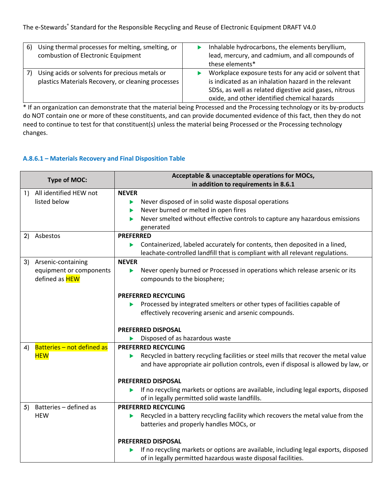| 6) | Using thermal processes for melting, smelting, or  | Inhalable hydrocarbons, the elements beryllium,        |
|----|----------------------------------------------------|--------------------------------------------------------|
|    | combustion of Electronic Equipment                 | lead, mercury, and cadmium, and all compounds of       |
|    |                                                    | these elements*                                        |
|    | Using acids or solvents for precious metals or     | Workplace exposure tests for any acid or solvent that  |
|    | plastics Materials Recovery, or cleaning processes | is indicated as an inhalation hazard in the relevant   |
|    |                                                    | SDSs, as well as related digestive acid gases, nitrous |
|    |                                                    | oxide, and other identified chemical hazards           |

\* If an organization can demonstrate that the material being Processed and the Processing technology or its by-products do NOT contain one or more of these constituents, and can provide documented evidence of this fact, then they do not need to continue to test for that constituent(s) unless the material being Processed or the Processing technology changes.

# **A.8.6.1 – Materials Recovery and Final Disposition Table**

| <b>Type of MOC:</b> |                            | Acceptable & unacceptable operations for MOCs,                                            |  |  |  |  |
|---------------------|----------------------------|-------------------------------------------------------------------------------------------|--|--|--|--|
|                     |                            | in addition to requirements in 8.6.1                                                      |  |  |  |  |
| 1)                  | All identified HEW not     | <b>NEVER</b>                                                                              |  |  |  |  |
|                     | listed below               | Never disposed of in solid waste disposal operations<br>▶                                 |  |  |  |  |
|                     |                            | Never burned or melted in open fires<br>▶                                                 |  |  |  |  |
|                     |                            | Never smelted without effective controls to capture any hazardous emissions<br>▶          |  |  |  |  |
|                     |                            | generated                                                                                 |  |  |  |  |
|                     | 2) Asbestos                | <b>PREFERRED</b>                                                                          |  |  |  |  |
|                     |                            | Containerized, labeled accurately for contents, then deposited in a lined,<br>▶           |  |  |  |  |
|                     |                            | leachate-controlled landfill that is compliant with all relevant regulations.             |  |  |  |  |
| 3)                  | Arsenic-containing         | <b>NEVER</b>                                                                              |  |  |  |  |
|                     | equipment or components    | Never openly burned or Processed in operations which release arsenic or its<br>▶          |  |  |  |  |
|                     | defined as <b>HEW</b>      | compounds to the biosphere;                                                               |  |  |  |  |
|                     |                            |                                                                                           |  |  |  |  |
|                     |                            | <b>PREFERRED RECYCLING</b>                                                                |  |  |  |  |
|                     |                            | Processed by integrated smelters or other types of facilities capable of<br>▶             |  |  |  |  |
|                     |                            | effectively recovering arsenic and arsenic compounds.                                     |  |  |  |  |
|                     |                            |                                                                                           |  |  |  |  |
|                     |                            | <b>PREFERRED DISPOSAL</b>                                                                 |  |  |  |  |
|                     |                            | Disposed of as hazardous waste                                                            |  |  |  |  |
| 4)                  | Batteries - not defined as | <b>PREFERRED RECYCLING</b>                                                                |  |  |  |  |
|                     | <b>HEW</b>                 | Recycled in battery recycling facilities or steel mills that recover the metal value<br>▶ |  |  |  |  |
|                     |                            | and have appropriate air pollution controls, even if disposal is allowed by law, or       |  |  |  |  |
|                     |                            | <b>PREFERRED DISPOSAL</b>                                                                 |  |  |  |  |
|                     |                            | If no recycling markets or options are available, including legal exports, disposed       |  |  |  |  |
|                     |                            | ▶<br>of in legally permitted solid waste landfills.                                       |  |  |  |  |
| 5)                  | Batteries - defined as     | <b>PREFERRED RECYCLING</b>                                                                |  |  |  |  |
|                     | <b>HEW</b>                 | Recycled in a battery recycling facility which recovers the metal value from the          |  |  |  |  |
|                     |                            | batteries and properly handles MOCs, or                                                   |  |  |  |  |
|                     |                            |                                                                                           |  |  |  |  |
|                     |                            | <b>PREFERRED DISPOSAL</b>                                                                 |  |  |  |  |
|                     |                            | If no recycling markets or options are available, including legal exports, disposed       |  |  |  |  |
|                     |                            | of in legally permitted hazardous waste disposal facilities.                              |  |  |  |  |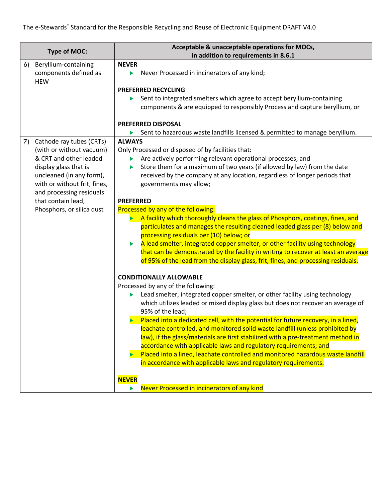| <b>Type of MOC:</b> |                                                             |                                                        | Acceptable & unacceptable operations for MOCs,                                                                                                      |  |  |
|---------------------|-------------------------------------------------------------|--------------------------------------------------------|-----------------------------------------------------------------------------------------------------------------------------------------------------|--|--|
|                     |                                                             | in addition to requirements in 8.6.1                   |                                                                                                                                                     |  |  |
| 6)                  | Beryllium-containing<br>components defined as<br><b>HEW</b> | <b>NEVER</b><br>▶                                      | Never Processed in incinerators of any kind;                                                                                                        |  |  |
|                     |                                                             |                                                        | <b>PREFERRED RECYCLING</b>                                                                                                                          |  |  |
|                     |                                                             |                                                        | Sent to integrated smelters which agree to accept beryllium-containing                                                                              |  |  |
|                     |                                                             |                                                        | components & are equipped to responsibly Process and capture beryllium, or                                                                          |  |  |
|                     |                                                             |                                                        | <b>PREFERRED DISPOSAL</b>                                                                                                                           |  |  |
|                     |                                                             |                                                        | Sent to hazardous waste landfills licensed & permitted to manage beryllium.                                                                         |  |  |
| 7)                  | Cathode ray tubes (CRTs)                                    | <b>ALWAYS</b>                                          |                                                                                                                                                     |  |  |
|                     | (with or without vacuum)                                    |                                                        | Only Processed or disposed of by facilities that:                                                                                                   |  |  |
|                     | & CRT and other leaded                                      |                                                        | Are actively performing relevant operational processes; and                                                                                         |  |  |
|                     | display glass that is                                       | ▶                                                      | Store them for a maximum of two years (if allowed by law) from the date                                                                             |  |  |
|                     | uncleaned (in any form),                                    |                                                        | received by the company at any location, regardless of longer periods that                                                                          |  |  |
|                     | with or without frit, fines,                                |                                                        | governments may allow;                                                                                                                              |  |  |
|                     | and processing residuals<br>that contain lead,              |                                                        |                                                                                                                                                     |  |  |
|                     | Phosphors, or silica dust                                   | <b>PREFERRED</b><br>Processed by any of the following: |                                                                                                                                                     |  |  |
|                     |                                                             |                                                        | A facility which thoroughly cleans the glass of Phosphors, coatings, fines, and                                                                     |  |  |
|                     |                                                             |                                                        | particulates and manages the resulting cleaned leaded glass per (8) below and                                                                       |  |  |
|                     |                                                             |                                                        | processing residuals per (10) below; or                                                                                                             |  |  |
|                     |                                                             | ▶                                                      | A lead smelter, integrated copper smelter, or other facility using technology                                                                       |  |  |
|                     |                                                             |                                                        | that can be demonstrated by the facility in writing to recover at least an average                                                                  |  |  |
|                     |                                                             |                                                        | of 95% of the lead from the display glass, frit, fines, and processing residuals.                                                                   |  |  |
|                     |                                                             |                                                        | <b>CONDITIONALLY ALLOWABLE</b>                                                                                                                      |  |  |
|                     |                                                             |                                                        | Processed by any of the following:                                                                                                                  |  |  |
|                     |                                                             |                                                        | Lead smelter, integrated copper smelter, or other facility using technology                                                                         |  |  |
|                     |                                                             |                                                        | which utilizes leaded or mixed display glass but does not recover an average of                                                                     |  |  |
|                     |                                                             |                                                        | 95% of the lead;                                                                                                                                    |  |  |
|                     |                                                             |                                                        | Placed into a dedicated cell, with the potential for future recovery, in a lined,                                                                   |  |  |
|                     |                                                             |                                                        | leachate controlled, and monitored solid waste landfill (unless prohibited by                                                                       |  |  |
|                     |                                                             |                                                        | law), if the glass/materials are first stabilized with a pre-treatment method in                                                                    |  |  |
|                     |                                                             |                                                        | accordance with applicable laws and regulatory requirements; and<br>Placed into a lined, leachate controlled and monitored hazardous waste landfill |  |  |
|                     |                                                             | ь                                                      | in accordance with applicable laws and regulatory requirements.                                                                                     |  |  |
|                     |                                                             |                                                        |                                                                                                                                                     |  |  |
|                     |                                                             | <b>NEVER</b>                                           |                                                                                                                                                     |  |  |
|                     |                                                             | ▶                                                      | Never Processed in incinerators of any kind                                                                                                         |  |  |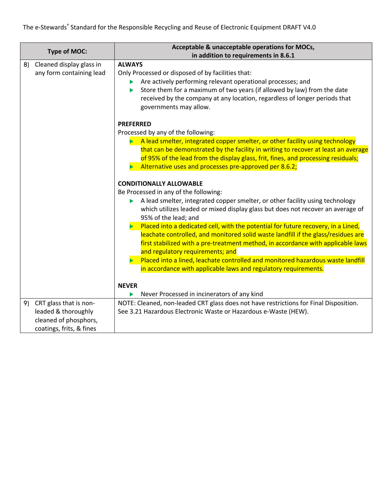| <b>Type of MOC:</b>                                        | Acceptable & unacceptable operations for MOCs,                                                                                                                                                                                                                                                                     |  |  |  |
|------------------------------------------------------------|--------------------------------------------------------------------------------------------------------------------------------------------------------------------------------------------------------------------------------------------------------------------------------------------------------------------|--|--|--|
|                                                            | in addition to requirements in 8.6.1<br><b>ALWAYS</b>                                                                                                                                                                                                                                                              |  |  |  |
| Cleaned display glass in<br>8)<br>any form containing lead | Only Processed or disposed of by facilities that:<br>Are actively performing relevant operational processes; and<br>▶<br>Store them for a maximum of two years (if allowed by law) from the date<br>▶<br>received by the company at any location, regardless of longer periods that<br>governments may allow.      |  |  |  |
|                                                            | <b>PREFERRED</b>                                                                                                                                                                                                                                                                                                   |  |  |  |
|                                                            | Processed by any of the following:                                                                                                                                                                                                                                                                                 |  |  |  |
|                                                            | A lead smelter, integrated copper smelter, or other facility using technology<br>that can be demonstrated by the facility in writing to recover at least an average<br>of 95% of the lead from the display glass, frit, fines, and processing residuals;<br>Alternative uses and processes pre-approved per 8.6.2; |  |  |  |
|                                                            | <b>CONDITIONALLY ALLOWABLE</b>                                                                                                                                                                                                                                                                                     |  |  |  |
|                                                            | Be Processed in any of the following:                                                                                                                                                                                                                                                                              |  |  |  |
|                                                            | A lead smelter, integrated copper smelter, or other facility using technology<br>which utilizes leaded or mixed display glass but does not recover an average of<br>95% of the lead; and                                                                                                                           |  |  |  |
|                                                            | Placed into a dedicated cell, with the potential for future recovery, in a Lined,<br>leachate controlled, and monitored solid waste landfill if the glass/residues are<br>first stabilized with a pre-treatment method, in accordance with applicable laws<br>and regulatory requirements; and                     |  |  |  |
|                                                            | Placed into a lined, leachate controlled and monitored hazardous waste landfill<br>in accordance with applicable laws and regulatory requirements.                                                                                                                                                                 |  |  |  |
|                                                            | <b>NEVER</b>                                                                                                                                                                                                                                                                                                       |  |  |  |
|                                                            | Never Processed in incinerators of any kind<br>ь                                                                                                                                                                                                                                                                   |  |  |  |
| 9) CRT glass that is non-                                  | NOTE: Cleaned, non-leaded CRT glass does not have restrictions for Final Disposition.                                                                                                                                                                                                                              |  |  |  |
| leaded & thoroughly                                        | See 3.21 Hazardous Electronic Waste or Hazardous e-Waste (HEW).                                                                                                                                                                                                                                                    |  |  |  |
| cleaned of phosphors,                                      |                                                                                                                                                                                                                                                                                                                    |  |  |  |
| coatings, frits, & fines                                   |                                                                                                                                                                                                                                                                                                                    |  |  |  |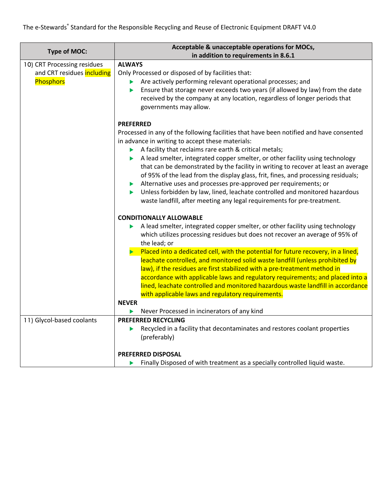| <b>Type of MOC:</b>                                                           | Acceptable & unacceptable operations for MOCs,                                                                                                                                                                                                                                                                                                                                                                                                                                                                                                                                                                                                                                                                                                                                            |  |  |  |  |
|-------------------------------------------------------------------------------|-------------------------------------------------------------------------------------------------------------------------------------------------------------------------------------------------------------------------------------------------------------------------------------------------------------------------------------------------------------------------------------------------------------------------------------------------------------------------------------------------------------------------------------------------------------------------------------------------------------------------------------------------------------------------------------------------------------------------------------------------------------------------------------------|--|--|--|--|
|                                                                               | in addition to requirements in 8.6.1                                                                                                                                                                                                                                                                                                                                                                                                                                                                                                                                                                                                                                                                                                                                                      |  |  |  |  |
| 10) CRT Processing residues<br>and CRT residues including<br><b>Phosphors</b> | <b>ALWAYS</b><br>Only Processed or disposed of by facilities that:<br>Are actively performing relevant operational processes; and<br>Ensure that storage never exceeds two years (if allowed by law) from the date<br>▶<br>received by the company at any location, regardless of longer periods that<br>governments may allow.                                                                                                                                                                                                                                                                                                                                                                                                                                                           |  |  |  |  |
|                                                                               | <b>PREFERRED</b><br>Processed in any of the following facilities that have been notified and have consented<br>in advance in writing to accept these materials:<br>A facility that reclaims rare earth & critical metals;<br>A lead smelter, integrated copper smelter, or other facility using technology<br>that can be demonstrated by the facility in writing to recover at least an average<br>of 95% of the lead from the display glass, frit, fines, and processing residuals;<br>Alternative uses and processes pre-approved per requirements; or<br>$\blacktriangleright$<br>Unless forbidden by law, lined, leachate controlled and monitored hazardous<br>Þ<br>waste landfill, after meeting any legal requirements for pre-treatment.                                         |  |  |  |  |
|                                                                               | <b>CONDITIONALLY ALLOWABLE</b><br>A lead smelter, integrated copper smelter, or other facility using technology<br>which utilizes processing residues but does not recover an average of 95% of<br>the lead; or<br>Placed into a dedicated cell, with the potential for future recovery, in a lined,<br>$\blacktriangleright$<br>leachate controlled, and monitored solid waste landfill (unless prohibited by<br>law), if the residues are first stabilized with a pre-treatment method in<br>accordance with applicable laws and regulatory requirements; and placed into a<br>lined, leachate controlled and monitored hazardous waste landfill in accordance<br>with applicable laws and regulatory requirements.<br><b>NEVER</b><br>Never Processed in incinerators of any kind<br>▶ |  |  |  |  |
| 11) Glycol-based coolants                                                     | <b>PREFERRED RECYCLING</b><br>Recycled in a facility that decontaminates and restores coolant properties<br>▶<br>(preferably)<br><b>PREFERRED DISPOSAL</b><br>Finally Disposed of with treatment as a specially controlled liquid waste.                                                                                                                                                                                                                                                                                                                                                                                                                                                                                                                                                  |  |  |  |  |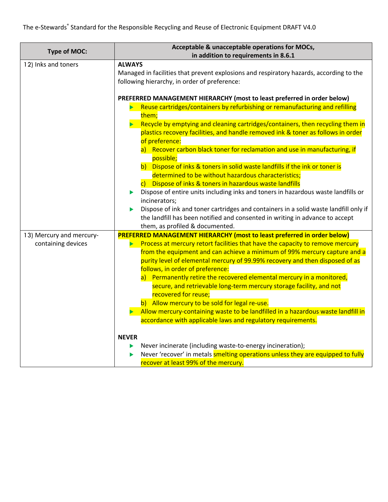| <b>Type of MOC:</b>                            | Acceptable & unacceptable operations for MOCs,                                                                                                                                                                                                                                                                                                                                                                                            |  |  |  |  |
|------------------------------------------------|-------------------------------------------------------------------------------------------------------------------------------------------------------------------------------------------------------------------------------------------------------------------------------------------------------------------------------------------------------------------------------------------------------------------------------------------|--|--|--|--|
|                                                | in addition to requirements in 8.6.1                                                                                                                                                                                                                                                                                                                                                                                                      |  |  |  |  |
| 12) Inks and toners                            | <b>ALWAYS</b><br>Managed in facilities that prevent explosions and respiratory hazards, according to the<br>following hierarchy, in order of preference:<br>PREFERRED MANAGEMENT HIERARCHY (most to least preferred in order below)<br>Reuse cartridges/containers by refurbishing or remanufacturing and refilling<br>them;                                                                                                              |  |  |  |  |
|                                                | Recycle by emptying and cleaning cartridges/containers, then recycling them in<br>plastics recovery facilities, and handle removed ink & toner as follows in order<br>of preference:<br>a) Recover carbon black toner for reclamation and use in manufacturing, if                                                                                                                                                                        |  |  |  |  |
|                                                | possible;<br>b) Dispose of inks & toners in solid waste landfills if the ink or toner is<br>determined to be without hazardous characteristics;<br>c) Dispose of inks & toners in hazardous waste landfills<br>Dispose of entire units including inks and toners in hazardous waste landfills or<br>▶<br>incinerators;<br>Dispose of ink and toner cartridges and containers in a solid waste landfill only if<br>▶                       |  |  |  |  |
|                                                | the landfill has been notified and consented in writing in advance to accept<br>them, as profiled & documented.                                                                                                                                                                                                                                                                                                                           |  |  |  |  |
| 13) Mercury and mercury-<br>containing devices | <b>PREFERRED MANAGEMENT HIERARCHY (most to least preferred in order below)</b><br>Process at mercury retort facilities that have the capacity to remove mercury<br>from the equipment and can achieve a minimum of 99% mercury capture and a<br>purity level of elemental mercury of 99.99% recovery and then disposed of as<br>follows, in order of preference:<br>a) Permanently retire the recovered elemental mercury in a monitored, |  |  |  |  |
|                                                | secure, and retrievable long-term mercury storage facility, and not<br>recovered for reuse;<br>b) Allow mercury to be sold for legal re-use.<br>Allow mercury-containing waste to be landfilled in a hazardous waste landfill in<br>accordance with applicable laws and regulatory requirements.                                                                                                                                          |  |  |  |  |
|                                                | <b>NEVER</b><br>Never incinerate (including waste-to-energy incineration);<br>▶<br>Never 'recover' in metals smelting operations unless they are equipped to fully<br>recover at least 99% of the mercury.                                                                                                                                                                                                                                |  |  |  |  |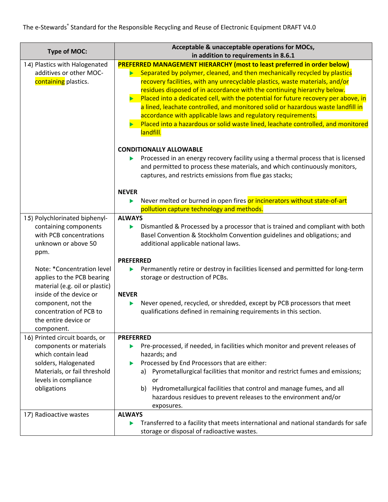| <b>Type of MOC:</b>                                                                                                                                                                                          | Acceptable & unacceptable operations for MOCs,<br>in addition to requirements in 8.6.1                                                                                                                                                                                                                                                                                                                                                                                                                                                                                                                                                                                                  |
|--------------------------------------------------------------------------------------------------------------------------------------------------------------------------------------------------------------|-----------------------------------------------------------------------------------------------------------------------------------------------------------------------------------------------------------------------------------------------------------------------------------------------------------------------------------------------------------------------------------------------------------------------------------------------------------------------------------------------------------------------------------------------------------------------------------------------------------------------------------------------------------------------------------------|
| 14) Plastics with Halogenated<br>additives or other MOC-<br>containing plastics.                                                                                                                             | <b>PREFERRED MANAGEMENT HIERARCHY (most to least preferred in order below)</b><br>Separated by polymer, cleaned, and then mechanically recycled by plastics<br>recovery facilities, with any unrecyclable plastics, waste materials, and/or<br>residues disposed of in accordance with the continuing hierarchy below.<br>$\blacktriangleright$ Placed into a dedicated cell, with the potential for future recovery per above, in<br>a lined, leachate controlled, and monitored solid or hazardous waste landfill in<br>accordance with applicable laws and regulatory requirements.<br>Placed into a hazardous or solid waste lined, leachate controlled, and monitored<br>landfill. |
|                                                                                                                                                                                                              | <b>CONDITIONALLY ALLOWABLE</b><br>Processed in an energy recovery facility using a thermal process that is licensed<br>and permitted to process these materials, and which continuously monitors,<br>captures, and restricts emissions from flue gas stacks;<br><b>NEVER</b><br>Never melted or burned in open fires or incinerators without state-of-art<br>▶<br>pollution capture technology and methods.                                                                                                                                                                                                                                                                             |
| 15) Polychlorinated biphenyl-<br>containing components<br>with PCB concentrations<br>unknown or above 50<br>ppm.                                                                                             | <b>ALWAYS</b><br>Dismantled & Processed by a processor that is trained and compliant with both<br>▶<br>Basel Convention & Stockholm Convention guidelines and obligations; and<br>additional applicable national laws.                                                                                                                                                                                                                                                                                                                                                                                                                                                                  |
| Note: *Concentration level<br>applies to the PCB bearing<br>material (e.g. oil or plastic)<br>inside of the device or<br>component, not the<br>concentration of PCB to<br>the entire device or<br>component. | <b>PREFERRED</b><br>Permanently retire or destroy in facilities licensed and permitted for long-term<br>storage or destruction of PCBs.<br><b>NEVER</b><br>Never opened, recycled, or shredded, except by PCB processors that meet<br>▶<br>qualifications defined in remaining requirements in this section.                                                                                                                                                                                                                                                                                                                                                                            |
| 16) Printed circuit boards, or<br>components or materials<br>which contain lead<br>solders, Halogenated<br>Materials, or fail threshold<br>levels in compliance<br>obligations                               | <b>PREFERRED</b><br>Pre-processed, if needed, in facilities which monitor and prevent releases of<br>hazards; and<br>Processed by End Processors that are either:<br>a) Pyrometallurgical facilities that monitor and restrict fumes and emissions;<br>or<br>Hydrometallurgical facilities that control and manage fumes, and all<br>b)<br>hazardous residues to prevent releases to the environment and/or<br>exposures.                                                                                                                                                                                                                                                               |
| 17) Radioactive wastes                                                                                                                                                                                       | <b>ALWAYS</b><br>Transferred to a facility that meets international and national standards for safe<br>▶<br>storage or disposal of radioactive wastes.                                                                                                                                                                                                                                                                                                                                                                                                                                                                                                                                  |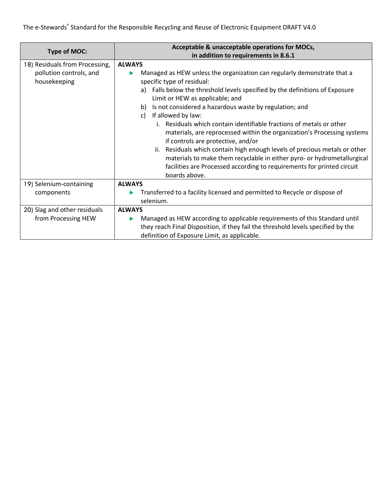| <b>Type of MOC:</b>                                                       | Acceptable & unacceptable operations for MOCs,                                                                                                                                                                                                                                                                                                                                                                                                                                                                                                                                                                                                                                                   |  |  |  |  |  |
|---------------------------------------------------------------------------|--------------------------------------------------------------------------------------------------------------------------------------------------------------------------------------------------------------------------------------------------------------------------------------------------------------------------------------------------------------------------------------------------------------------------------------------------------------------------------------------------------------------------------------------------------------------------------------------------------------------------------------------------------------------------------------------------|--|--|--|--|--|
|                                                                           | in addition to requirements in 8.6.1                                                                                                                                                                                                                                                                                                                                                                                                                                                                                                                                                                                                                                                             |  |  |  |  |  |
| 18) Residuals from Processing,<br>pollution controls, and<br>housekeeping | <b>ALWAYS</b><br>Managed as HEW unless the organization can regularly demonstrate that a<br>specific type of residual:<br>Falls below the threshold levels specified by the definitions of Exposure<br>a)<br>Limit or HEW as applicable; and<br>Is not considered a hazardous waste by regulation; and<br>b)<br>If allowed by law:<br>C)<br>Residuals which contain identifiable fractions of metals or other<br>i.<br>materials, are reprocessed within the organization's Processing systems<br>if controls are protective, and/or<br>Residuals which contain high enough levels of precious metals or other<br>ii.<br>materials to make them recyclable in either pyro- or hydrometallurgical |  |  |  |  |  |
|                                                                           | facilities are Processed according to requirements for printed circuit<br>boards above.                                                                                                                                                                                                                                                                                                                                                                                                                                                                                                                                                                                                          |  |  |  |  |  |
| 19) Selenium-containing                                                   | <b>ALWAYS</b>                                                                                                                                                                                                                                                                                                                                                                                                                                                                                                                                                                                                                                                                                    |  |  |  |  |  |
| components                                                                | Transferred to a facility licensed and permitted to Recycle or dispose of                                                                                                                                                                                                                                                                                                                                                                                                                                                                                                                                                                                                                        |  |  |  |  |  |
|                                                                           | selenium.                                                                                                                                                                                                                                                                                                                                                                                                                                                                                                                                                                                                                                                                                        |  |  |  |  |  |
| 20) Slag and other residuals                                              | <b>ALWAYS</b>                                                                                                                                                                                                                                                                                                                                                                                                                                                                                                                                                                                                                                                                                    |  |  |  |  |  |
| from Processing HEW                                                       | Managed as HEW according to applicable requirements of this Standard until                                                                                                                                                                                                                                                                                                                                                                                                                                                                                                                                                                                                                       |  |  |  |  |  |
|                                                                           | they reach Final Disposition, if they fail the threshold levels specified by the                                                                                                                                                                                                                                                                                                                                                                                                                                                                                                                                                                                                                 |  |  |  |  |  |
|                                                                           | definition of Exposure Limit, as applicable.                                                                                                                                                                                                                                                                                                                                                                                                                                                                                                                                                                                                                                                     |  |  |  |  |  |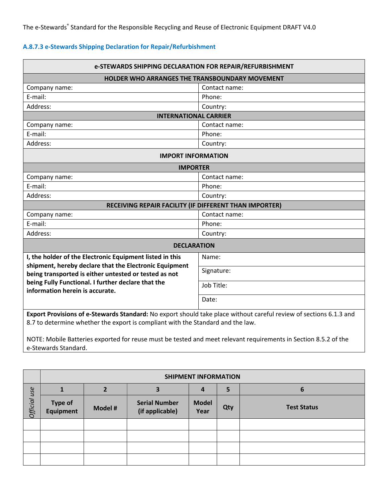# **A.8.7.3 e-Stewards Shipping Declaration for Repair/Refurbishment**

| e-STEWARDS SHIPPING DECLARATION FOR REPAIR/REFURBISHMENT                                                                                                                                                                                                                                                                  |               |  |  |
|---------------------------------------------------------------------------------------------------------------------------------------------------------------------------------------------------------------------------------------------------------------------------------------------------------------------------|---------------|--|--|
| HOLDER WHO ARRANGES THE TRANSBOUNDARY MOVEMENT                                                                                                                                                                                                                                                                            |               |  |  |
| Company name:                                                                                                                                                                                                                                                                                                             | Contact name: |  |  |
| E-mail:                                                                                                                                                                                                                                                                                                                   | Phone:        |  |  |
| Address:                                                                                                                                                                                                                                                                                                                  | Country:      |  |  |
| <b>INTERNATIONAL CARRIER</b>                                                                                                                                                                                                                                                                                              |               |  |  |
| Company name:                                                                                                                                                                                                                                                                                                             | Contact name: |  |  |
| E-mail:                                                                                                                                                                                                                                                                                                                   | Phone:        |  |  |
| Address:                                                                                                                                                                                                                                                                                                                  | Country:      |  |  |
| <b>IMPORT INFORMATION</b>                                                                                                                                                                                                                                                                                                 |               |  |  |
| <b>IMPORTER</b>                                                                                                                                                                                                                                                                                                           |               |  |  |
| Company name:                                                                                                                                                                                                                                                                                                             | Contact name: |  |  |
| E-mail:                                                                                                                                                                                                                                                                                                                   | Phone:        |  |  |
| Address:                                                                                                                                                                                                                                                                                                                  | Country:      |  |  |
| RECEIVING REPAIR FACILITY (IF DIFFERENT THAN IMPORTER)                                                                                                                                                                                                                                                                    |               |  |  |
| Company name:                                                                                                                                                                                                                                                                                                             | Contact name: |  |  |
| E-mail:                                                                                                                                                                                                                                                                                                                   | Phone:        |  |  |
| Address:                                                                                                                                                                                                                                                                                                                  | Country:      |  |  |
| <b>DECLARATION</b>                                                                                                                                                                                                                                                                                                        |               |  |  |
| I, the holder of the Electronic Equipment listed in this<br>shipment, hereby declare that the Electronic Equipment                                                                                                                                                                                                        | Name:         |  |  |
| being transported is either untested or tested as not                                                                                                                                                                                                                                                                     | Signature:    |  |  |
| being Fully Functional. I further declare that the<br>information herein is accurate.                                                                                                                                                                                                                                     | Job Title:    |  |  |
|                                                                                                                                                                                                                                                                                                                           | Date:         |  |  |
| Export Provisions of e-Stewards Standard: No export should take place without careful review of sections 6.1.3 and<br>8.7 to determine whether the export is compliant with the Standard and the law.<br>NOTE: Mabile Retteries overseted for rouse must be tested and meet relaxant requirements in Costian Q E 3 of the |               |  |  |

NOTE: Mobile Batteries exported for reuse must be tested and meet relevant requirements in Section 8.5.2 of the e-Stewards Standard.

|              |                             |                |                                         | <b>SHIPMENT INFORMATION</b> |     |                    |
|--------------|-----------------------------|----------------|-----------------------------------------|-----------------------------|-----|--------------------|
|              |                             | $\overline{2}$ | 3                                       |                             | 5   | 6                  |
| Official use | <b>Type of</b><br>Equipment | Model #        | <b>Serial Number</b><br>(if applicable) | <b>Model</b><br>Year        | Qty | <b>Test Status</b> |
|              |                             |                |                                         |                             |     |                    |
|              |                             |                |                                         |                             |     |                    |
|              |                             |                |                                         |                             |     |                    |
|              |                             |                |                                         |                             |     |                    |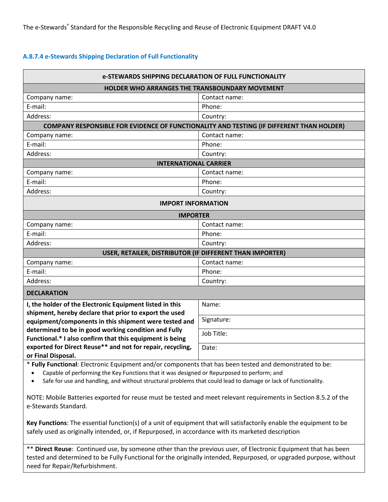#### **A.8.7.4 e-Stewards Shipping Declaration of Full Functionality**

| e-STEWARDS SHIPPING DECLARATION OF FULL FUNCTIONALITY                                                                          |  |  |  |
|--------------------------------------------------------------------------------------------------------------------------------|--|--|--|
| HOLDER WHO ARRANGES THE TRANSBOUNDARY MOVEMENT                                                                                 |  |  |  |
| Contact name:<br>Company name:                                                                                                 |  |  |  |
| E-mail:<br>Phone:                                                                                                              |  |  |  |
| Address:<br>Country:                                                                                                           |  |  |  |
| <b>COMPANY RESPONSIBLE FOR EVIDENCE OF FUNCTIONALITY AND TESTING (IF DIFFERENT THAN HOLDER)</b>                                |  |  |  |
| Contact name:<br>Company name:                                                                                                 |  |  |  |
| E-mail:<br>Phone:                                                                                                              |  |  |  |
| Address:<br>Country:                                                                                                           |  |  |  |
| <b>INTERNATIONAL CARRIER</b>                                                                                                   |  |  |  |
| Contact name:<br>Company name:                                                                                                 |  |  |  |
| E-mail:<br>Phone:                                                                                                              |  |  |  |
| Address:<br>Country:                                                                                                           |  |  |  |
| <b>IMPORT INFORMATION</b>                                                                                                      |  |  |  |
| <b>IMPORTER</b>                                                                                                                |  |  |  |
| Company name:<br>Contact name:                                                                                                 |  |  |  |
| E-mail:<br>Phone:                                                                                                              |  |  |  |
| Address:<br>Country:                                                                                                           |  |  |  |
| USER, RETAILER, DISTRIBUTOR (IF DIFFERENT THAN IMPORTER)                                                                       |  |  |  |
| Contact name:<br>Company name:                                                                                                 |  |  |  |
| E-mail:<br>Phone:                                                                                                              |  |  |  |
| Address:<br>Country:                                                                                                           |  |  |  |
| <b>DECLARATION</b>                                                                                                             |  |  |  |
| I, the holder of the Electronic Equipment listed in this<br>Name:                                                              |  |  |  |
| shipment, hereby declare that prior to export the used                                                                         |  |  |  |
| Signature:<br>equipment/components in this shipment were tested and                                                            |  |  |  |
| determined to be in good working condition and Fully<br>Job Title:<br>Functional.* I also confirm that this equipment is being |  |  |  |
| exported for Direct Reuse** and not for repair, recycling,<br>Date:                                                            |  |  |  |
| or Final Disposal.                                                                                                             |  |  |  |
| * Fully Functional: Electronic Equipment and/or components that has been tested and demonstrated to be:                        |  |  |  |
|                                                                                                                                |  |  |  |

• Safe for use and handling, and without structural problems that could lead to damage or lack of functionality.

NOTE: Mobile Batteries exported for reuse must be tested and meet relevant requirements in Section 8.5.2 of the e-Stewards Standard.

**Key Functions**: The essential function(s) of a unit of equipment that will satisfactorily enable the equipment to be safely used as originally intended, or, if Repurposed, in accordance with its marketed description

\*\* **Direct Reuse**: Continued use, by someone other than the previous user, of Electronic Equipment that has been tested and determined to be Fully Functional for the originally intended, Repurposed, or upgraded purpose, without need for Repair/Refurbishment.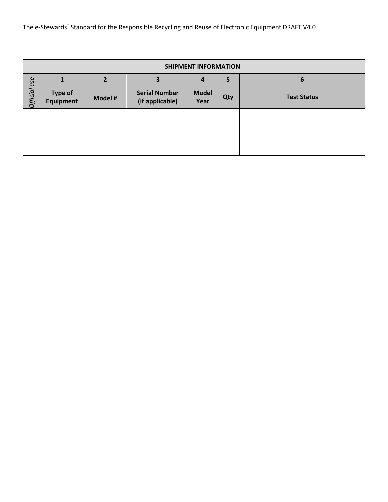|              |                                    |         |                                         | <b>SHIPMENT INFORMATION</b> |                |                    |
|--------------|------------------------------------|---------|-----------------------------------------|-----------------------------|----------------|--------------------|
|              |                                    |         | 3                                       |                             | $5\phantom{1}$ | 6                  |
| Official use | <b>Type of</b><br><b>Equipment</b> | Model # | <b>Serial Number</b><br>(if applicable) | <b>Model</b><br>Year        | Qty            | <b>Test Status</b> |
|              |                                    |         |                                         |                             |                |                    |
|              |                                    |         |                                         |                             |                |                    |
|              |                                    |         |                                         |                             |                |                    |
|              |                                    |         |                                         |                             |                |                    |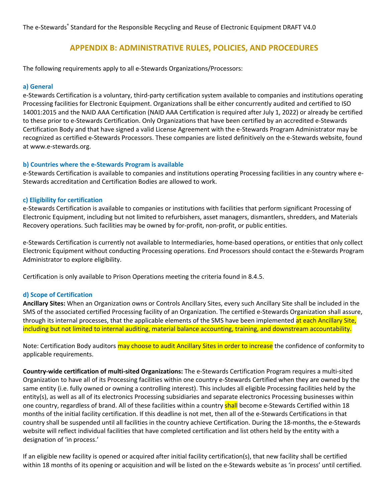# **APPENDIX B: ADMINISTRATIVE RULES, POLICIES, AND PROCEDURES**

The following requirements apply to all e-Stewards Organizations/Processors:

#### **a) General**

e-Stewards Certification is a voluntary, third-party certification system available to companies and institutions operating Processing facilities for Electronic Equipment. Organizations shall be either concurrently audited and certified to ISO 14001:2015 and the NAID AAA Certification (NAID AAA Certification is required after July 1, 2022) or already be certified to these prior to e-Stewards Certification. Only Organizations that have been certified by an accredited e-Stewards Certification Body and that have signed a valid License Agreement with the e-Stewards Program Administrator may be recognized as certified e-Stewards Processors. These companies are listed definitively on the e-Stewards website, found at www.e-stewards.org.

#### **b) Countries where the e-Stewards Program is available**

e-Stewards Certification is available to companies and institutions operating Processing facilities in any country where e-Stewards accreditation and Certification Bodies are allowed to work.

#### **c) Eligibility for certification**

e-Stewards Certification is available to companies or institutions with facilities that perform significant Processing of Electronic Equipment, including but not limited to refurbishers, asset managers, dismantlers, shredders, and Materials Recovery operations. Such facilities may be owned by for-profit, non-profit, or public entities.

e-Stewards Certification is currently not available to Intermediaries, home-based operations, or entities that only collect Electronic Equipment without conducting Processing operations. End Processors should contact the e-Stewards Program Administrator to explore eligibility.

Certification is only available to Prison Operations meeting the criteria found in 8.4.5.

## **d) Scope of Certification**

**Ancillary Sites:** When an Organization owns or Controls Ancillary Sites, every such Ancillary Site shall be included in the SMS of the associated certified Processing facility of an Organization. The certified e-Stewards Organization shall assure, through its internal processes, that the applicable elements of the SMS have been implemented at each Ancillary Site, including but not limited to internal auditing, material balance accounting, training, and downstream accountability.

Note: Certification Body auditors may choose to audit Ancillary Sites in order to increase the confidence of conformity to applicable requirements.

**Country-wide certification of multi-sited Organizations:** The e-Stewards Certification Program requires a multi-sited Organization to have all of its Processing facilities within one country e-Stewards Certified when they are owned by the same entity (i.e. fully owned or owning a controlling interest). This includes all eligible Processing facilities held by the entity(s), as well as all of its electronics Processing subsidiaries and separate electronics Processing businesses within one country, regardless of brand. All of these facilities within a country shall become e-Stewards Certified within 18 months of the initial facility certification. If this deadline is not met, then all of the e-Stewards Certifications in that country shall be suspended until all facilities in the country achieve Certification. During the 18-months, the e-Stewards website will reflect individual facilities that have completed certification and list others held by the entity with a designation of 'in process.'

If an eligible new facility is opened or acquired after initial facility certification(s), that new facility shall be certified within 18 months of its opening or acquisition and will be listed on the e-Stewards website as 'in process' until certified.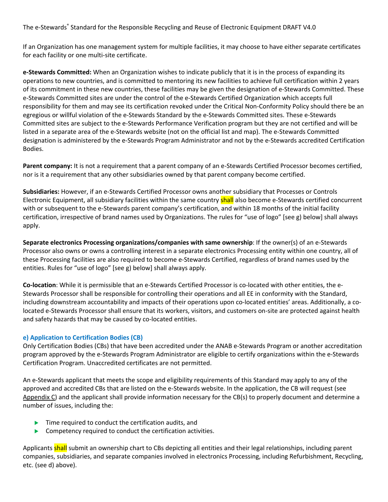If an Organization has one management system for multiple facilities, it may choose to have either separate certificates for each facility or one multi-site certificate.

**e-Stewards Committed:** When an Organization wishes to indicate publicly that it is in the process of expanding its operations to new countries, and is committed to mentoring its new facilities to achieve full certification within 2 years of its commitment in these new countries, these facilities may be given the designation of e-Stewards Committed. These e-Stewards Committed sites are under the control of the e-Stewards Certified Organization which accepts full responsibility for them and may see its certification revoked under the Critical Non-Conformity Policy should there be an egregious or willful violation of the e-Stewards Standard by the e-Stewards Committed sites. These e-Stewards Committed sites are subject to the e-Stewards Performance Verification program but they are not certified and will be listed in a separate area of the e-Stewards website (not on the official list and map). The e-Stewards Committed designation is administered by the e-Stewards Program Administrator and not by the e-Stewards accredited Certification Bodies.

**Parent company:** It is not a requirement that a parent company of an e-Stewards Certified Processor becomes certified, nor is it a requirement that any other subsidiaries owned by that parent company become certified.

**Subsidiaries:** However, if an e-Stewards Certified Processor owns another subsidiary that Processes or Controls Electronic Equipment, all subsidiary facilities within the same country shall also become e-Stewards certified concurrent with or subsequent to the e-Stewards parent company's certification, and within 18 months of the initial facility certification, irrespective of brand names used by Organizations. The rules for "use of logo" [see g) below] shall always apply.

**Separate electronics Processing organizations/companies with same ownership**: If the owner(s) of an e-Stewards Processor also owns or owns a controlling interest in a separate electronics Processing entity within one country, all of these Processing facilities are also required to become e-Stewards Certified, regardless of brand names used by the entities. Rules for "use of logo" [see g) below] shall always apply.

**Co-location**: While it is permissible that an e-Stewards Certified Processor is co-located with other entities, the e-Stewards Processor shall be responsible for controlling their operations and all EE in conformity with the Standard, including downstream accountability and impacts of their operations upon co-located entities' areas. Additionally, a colocated e-Stewards Processor shall ensure that its workers, visitors, and customers on-site are protected against health and safety hazards that may be caused by co-located entities.

## **e) Application to Certification Bodies (CB)**

Only Certification Bodies (CBs) that have been accredited under the ANAB e-Stewards Program or another accreditation program approved by the e-Stewards Program Administrator are eligible to certify organizations within the e-Stewards Certification Program. Unaccredited certificates are not permitted.

An e-Stewards applicant that meets the scope and eligibility requirements of this Standard may apply to any of the approved and accredited CBs that are listed on the e-Stewards website. In the application, the CB will request (see Appendix  $C$ ) and the applicant shall provide information necessary for the CB(s) to properly document and determine a number of issues, including the:

- Time required to conduct the certification audits, and
- Competency required to conduct the certification activities.

Applicants shall submit an ownership chart to CBs depicting all entities and their legal relationships, including parent companies, subsidiaries, and separate companies involved in electronics Processing, including Refurbishment, Recycling, etc. (see d) above).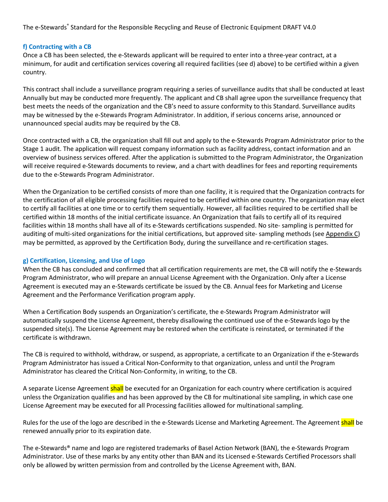## **f) Contracting with a CB**

Once a CB has been selected, the e-Stewards applicant will be required to enter into a three-year contract, at a minimum, for audit and certification services covering all required facilities (see d) above) to be certified within a given country.

This contract shall include a surveillance program requiring a series of surveillance audits that shall be conducted at least Annually but may be conducted more frequently. The applicant and CB shall agree upon the surveillance frequency that best meets the needs of the organization and the CB's need to assure conformity to this Standard. Surveillance audits may be witnessed by the e-Stewards Program Administrator. In addition, if serious concerns arise, announced or unannounced special audits may be required by the CB.

Once contracted with a CB, the organization shall fill out and apply to the e-Stewards Program Administrator prior to the Stage 1 audit. The application will request company information such as facility address, contact information and an overview of business services offered. After the application is submitted to the Program Administrator, the Organization will receive required e-Stewards documents to review, and a chart with deadlines for fees and reporting requirements due to the e-Stewards Program Administrator.

When the Organization to be certified consists of more than one facility, it is required that the Organization contracts for the certification of all eligible processing facilities required to be certified within one country. The organization may elect to certify all facilities at one time or to certify them sequentially. However, all facilities required to be certified shall be certified within 18 months of the initial certificate issuance. An Organization that fails to certify all of its required facilities within 18 months shall have all of its e-Stewards certifications suspended. No site- sampling is permitted for auditing of multi-sited organizations for the initial certifications, but approved site- sampling methods (see Appendix C) may be permitted, as approved by the Certification Body, during the surveillance and re-certification stages.

## **g) Certification, Licensing, and Use of Logo**

When the CB has concluded and confirmed that all certification requirements are met, the CB will notify the e-Stewards Program Administrator, who will prepare an annual License Agreement with the Organization. Only after a License Agreement is executed may an e-Stewards certificate be issued by the CB. Annual fees for Marketing and License Agreement and the Performance Verification program apply.

When a Certification Body suspends an Organization's certificate, the e-Stewards Program Administrator will automatically suspend the License Agreement, thereby disallowing the continued use of the e-Stewards logo by the suspended site(s). The License Agreement may be restored when the certificate is reinstated, or terminated if the certificate is withdrawn.

The CB is required to withhold, withdraw, or suspend, as appropriate, a certificate to an Organization if the e-Stewards Program Administrator has issued a Critical Non-Conformity to that organization, unless and until the Program Administrator has cleared the Critical Non-Conformity, in writing, to the CB.

A separate License Agreement shall be executed for an Organization for each country where certification is acquired unless the Organization qualifies and has been approved by the CB for multinational site sampling, in which case one License Agreement may be executed for all Processing facilities allowed for multinational sampling.

Rules for the use of the logo are described in the e-Stewards License and Marketing Agreement. The Agreement shall be renewed annually prior to its expiration date.

The e-Stewards® name and logo are registered trademarks of Basel Action Network (BAN), the e-Stewards Program Administrator. Use of these marks by any entity other than BAN and its Licensed e-Stewards Certified Processors shall only be allowed by written permission from and controlled by the License Agreement with, BAN.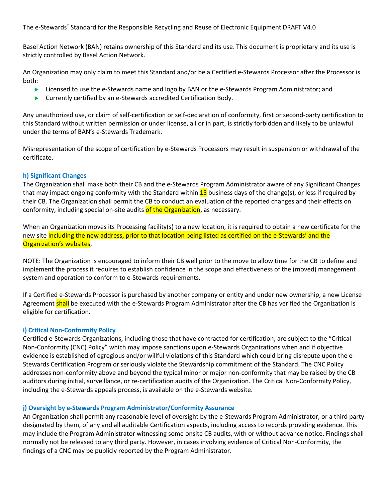Basel Action Network (BAN) retains ownership of this Standard and its use. This document is proprietary and its use is strictly controlled by Basel Action Network.

An Organization may only claim to meet this Standard and/or be a Certified e-Stewards Processor after the Processor is both:

- **EXECT:** Licensed to use the e-Stewards name and logo by BAN or the e-Stewards Program Administrator; and
- $\blacktriangleright$  Currently certified by an e-Stewards accredited Certification Body.

Any unauthorized use, or claim of self-certification or self-declaration of conformity, first or second-party certification to this Standard without written permission or under license, all or in part, is strictly forbidden and likely to be unlawful under the terms of BAN's e-Stewards Trademark.

Misrepresentation of the scope of certification by e-Stewards Processors may result in suspension or withdrawal of the certificate.

## **h) Significant Changes**

The Organization shall make both their CB and the e-Stewards Program Administrator aware of any Significant Changes that may impact ongoing conformity with the Standard within  $15$  business days of the change(s), or less if required by their CB. The Organization shall permit the CB to conduct an evaluation of the reported changes and their effects on conformity, including special on-site audits of the Organization, as necessary.

When an Organization moves its Processing facility(s) to a new location, it is required to obtain a new certificate for the new site including the new address, prior to that location being listed as certified on the e-Stewards' and the Organization's websites,

NOTE: The Organization is encouraged to inform their CB well prior to the move to allow time for the CB to define and implement the process it requires to establish confidence in the scope and effectiveness of the (moved) management system and operation to conform to e-Stewards requirements.

If a Certified e-Stewards Processor is purchased by another company or entity and under new ownership, a new License Agreement shall be executed with the e-Stewards Program Administrator after the CB has verified the Organization is eligible for certification.

## **i) Critical Non-Conformity Policy**

Certified e-Stewards Organizations, including those that have contracted for certification, are subject to the "Critical Non-Conformity (CNC) Policy" which may impose sanctions upon e-Stewards Organizations when and if objective evidence is established of egregious and/or willful violations of this Standard which could bring disrepute upon the e-Stewards Certification Program or seriously violate the Stewardship commitment of the Standard. The CNC Policy addresses non-conformity above and beyond the typical minor or major non-conformity that may be raised by the CB auditors during initial, surveillance, or re-certification audits of the Organization. The Critical Non-Conformity Policy, including the e-Stewards appeals process, is available on the e-Stewards website.

## **j) Oversight by e-Stewards Program Administrator/Conformity Assurance**

An Organization shall permit any reasonable level of oversight by the e-Stewards Program Administrator, or a third party designated by them, of any and all auditable Certification aspects, including access to records providing evidence. This may include the Program Administrator witnessing some onsite CB audits, with or without advance notice. Findings shall normally not be released to any third party. However, in cases involving evidence of Critical Non-Conformity, the findings of a CNC may be publicly reported by the Program Administrator.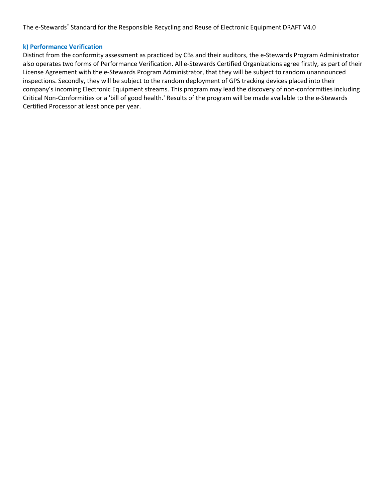#### **k) Performance Verification**

Distinct from the conformity assessment as practiced by CBs and their auditors, the e-Stewards Program Administrator also operates two forms of Performance Verification. All e-Stewards Certified Organizations agree firstly, as part of their License Agreement with the e-Stewards Program Administrator, that they will be subject to random unannounced inspections. Secondly, they will be subject to the random deployment of GPS tracking devices placed into their company's incoming Electronic Equipment streams. This program may lead the discovery of non-conformities including Critical Non-Conformities or a 'bill of good health.' Results of the program will be made available to the e-Stewards Certified Processor at least once per year.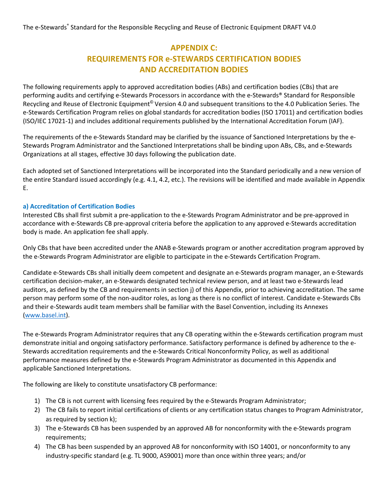# **APPENDIX C: REQUIREMENTS FOR e-STEWARDS CERTIFICATION BODIES AND ACCREDITATION BODIES**

The following requirements apply to approved accreditation bodies (ABs) and certification bodies (CBs) that are performing audits and certifying e-Stewards Processors in accordance with the e-Stewards® Standard for Responsible Recycling and Reuse of Electronic Equipment<sup>©</sup> Version 4.0 and subsequent transitions to the 4.0 Publication Series. The e-Stewards Certification Program relies on global standards for accreditation bodies (ISO 17011) and certification bodies (ISO/IEC 17021-1) and includes additional requirements published by the International Accreditation Forum (IAF).

The requirements of the e-Stewards Standard may be clarified by the issuance of Sanctioned Interpretations by the e-Stewards Program Administrator and the Sanctioned Interpretations shall be binding upon ABs, CBs, and e-Stewards Organizations at all stages, effective 30 days following the publication date.

Each adopted set of Sanctioned Interpretations will be incorporated into the Standard periodically and a new version of the entire Standard issued accordingly (e.g. 4.1, 4.2, etc.). The revisions will be identified and made available in Appendix E.

## **a) Accreditation of Certification Bodies**

Interested CBs shall first submit a pre-application to the e-Stewards Program Administrator and be pre-approved in accordance with e-Stewards CB pre-approval criteria before the application to any approved e-Stewards accreditation body is made. An application fee shall apply.

Only CBs that have been accredited under the ANAB e-Stewards program or another accreditation program approved by the e-Stewards Program Administrator are eligible to participate in the e-Stewards Certification Program.

Candidate e-Stewards CBs shall initially deem competent and designate an e-Stewards program manager, an e-Stewards certification decision-maker, an e-Stewards designated technical review person, and at least two e-Stewards lead auditors, as defined by the CB and requirements in section j) of this Appendix, prior to achieving accreditation. The same person may perform some of the non-auditor roles, as long as there is no conflict of interest. Candidate e-Stewards CBs and their e-Stewards audit team members shall be familiar with the Basel Convention, including its Annexes (www.basel.int).

The e-Stewards Program Administrator requires that any CB operating within the e-Stewards certification program must demonstrate initial and ongoing satisfactory performance. Satisfactory performance is defined by adherence to the e-Stewards accreditation requirements and the e-Stewards Critical Nonconformity Policy, as well as additional performance measures defined by the e-Stewards Program Administrator as documented in this Appendix and applicable Sanctioned Interpretations.

The following are likely to constitute unsatisfactory CB performance:

- 1) The CB is not current with licensing fees required by the e-Stewards Program Administrator;
- 2) The CB fails to report initial certifications of clients or any certification status changes to Program Administrator, as required by section k);
- 3) The e-Stewards CB has been suspended by an approved AB for nonconformity with the e-Stewards program requirements;
- 4) The CB has been suspended by an approved AB for nonconformity with ISO 14001, or nonconformity to any industry-specific standard (e.g. TL 9000, AS9001) more than once within three years; and/or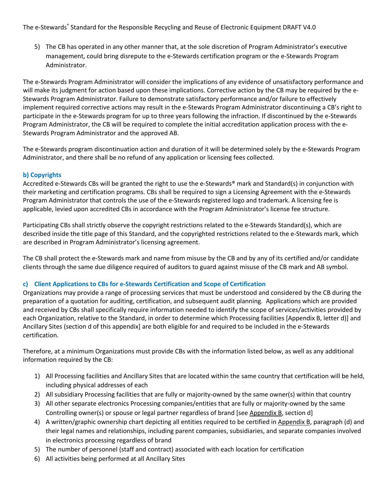5) The CB has operated in any other manner that, at the sole discretion of Program Administrator's executive management, could bring disrepute to the e-Stewards certification program or the e-Stewards Program Administrator.

The e-Stewards Program Administrator will consider the implications of any evidence of unsatisfactory performance and will make its judgment for action based upon these implications. Corrective action by the CB may be required by the e-Stewards Program Administrator. Failure to demonstrate satisfactory performance and/or failure to effectively implement required corrective actions may result in the e-Stewards Program Administrator discontinuing a CB's right to participate in the e-Stewards program for up to three years following the infraction. If discontinued by the e-Stewards Program Administrator, the CB will be required to complete the initial accreditation application process with the e-Stewards Program Administrator and the approved AB.

The e-Stewards program discontinuation action and duration of it will be determined solely by the e-Stewards Program Administrator, and there shall be no refund of any application or licensing fees collected.

# **b) Copyrights**

Accredited e-Stewards CBs will be granted the right to use the e-Stewards® mark and Standard(s) in conjunction with their marketing and certification programs. CBs shall be required to sign a Licensing Agreement with the e-Stewards Program Administrator that controls the use of the e-Stewards registered logo and trademark. A licensing fee is applicable, levied upon accredited CBs in accordance with the Program Administrator's license fee structure.

Participating CBs shall strictly observe the copyright restrictions related to the e-Stewards Standard(s), which are described inside the title page of this Standard, and the copyrighted restrictions related to the e-Stewards mark, which are described in Program Administrator's licensing agreement.

The CB shall protect the e-Stewards mark and name from misuse by the CB and by any of its certified and/or candidate clients through the same due diligence required of auditors to guard against misuse of the CB mark and AB symbol.

# **c) Client Applications to CBs for e-Stewards Certification and Scope of Certification**

Organizations may provide a range of processing services that must be understood and considered by the CB during the preparation of a quotation for auditing, certification, and subsequent audit planning. Applications which are provided and received by CBs shall specifically require information needed to identify the scope of services/activities provided by each Organization, relative to the Standard, in order to determine which Processing facilities [Appendix B, letter d)] and Ancillary Sites (section d of this appendix] are both eligible for and required to be included in the e-Stewards certification.

Therefore, at a minimum Organizations must provide CBs with the information listed below, as well as any additional information required by the CB:

- 1) All Processing facilities and Ancillary Sites that are located within the same country that certification will be held, including physical addresses of each
- 2) All subsidiary Processing facilities that are fully or majority-owned by the same owner(s) within that country
- 3) All other separate electronics Processing companies/entities that are fully or majority-owned by the same Controlling owner(s) or spouse or legal partner regardless of brand [see Appendix B, section d]
- 4) A written/graphic ownership chart depicting all entities required to be certified in Appendix B, paragraph (d) and their legal names and relationships, including parent companies, subsidiaries, and separate companies involved in electronics processing regardless of brand
- 5) The number of personnel (staff and contract) associated with each location for certification
- 6) All activities being performed at all Ancillary Sites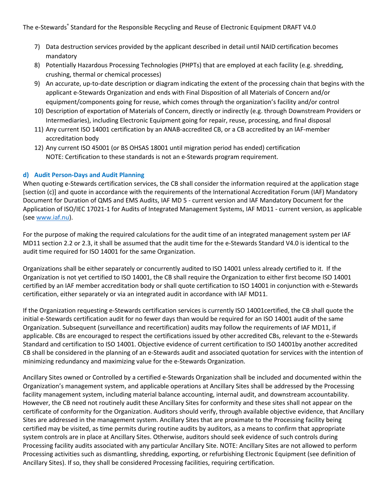- 7) Data destruction services provided by the applicant described in detail until NAID certification becomes mandatory
- 8) Potentially Hazardous Processing Technologies (PHPTs) that are employed at each facility (e.g. shredding, crushing, thermal or chemical processes)
- 9) An accurate, up-to-date description or diagram indicating the extent of the processing chain that begins with the applicant e-Stewards Organization and ends with Final Disposition of all Materials of Concern and/or equipment/components going for reuse, which comes through the organization's facility and/or control
- 10) Description of exportation of Materials of Concern, directly or indirectly (e.g. through Downstream Providers or Intermediaries), including Electronic Equipment going for repair, reuse, processing, and final disposal
- 11) Any current ISO 14001 certification by an ANAB-accredited CB, or a CB accredited by an IAF-member accreditation body
- 12) Any current ISO 45001 (or BS OHSAS 18001 until migration period has ended) certification NOTE: Certification to these standards is not an e-Stewards program requirement.

# **d) Audit Person-Days and Audit Planning**

When quoting e-Stewards certification services, the CB shall consider the information required at the application stage [section (c)] and quote in accordance with the requirements of the International Accreditation Forum (IAF) Mandatory Document for Duration of QMS and EMS Audits, IAF MD 5 - current version and IAF Mandatory Document for the Application of ISO/IEC 17021-1 for Audits of Integrated Management Systems, IAF MD11 - current version, as applicable (see www.iaf.nu).

For the purpose of making the required calculations for the audit time of an integrated management system per IAF MD11 section 2.2 or 2.3, it shall be assumed that the audit time for the e-Stewards Standard V4.0 is identical to the audit time required for ISO 14001 for the same Organization.

Organizations shall be either separately or concurrently audited to ISO 14001 unless already certified to it. If the Organization is not yet certified to ISO 14001, the CB shall require the Organization to either first become ISO 14001 certified by an IAF member accreditation body or shall quote certification to ISO 14001 in conjunction with e-Stewards certification, either separately or via an integrated audit in accordance with IAF MD11.

If the Organization requesting e-Stewards certification services is currently ISO 14001certified, the CB shall quote the initial e-Stewards certification audit for no fewer days than would be required for an ISO 14001 audit of the same Organization. Subsequent (surveillance and recertification) audits may follow the requirements of IAF MD11, if applicable. CBs are encouraged to respect the certifications issued by other accredited CBs, relevant to the e-Stewards Standard and certification to ISO 14001. Objective evidence of current certification to ISO 14001by another accredited CB shall be considered in the planning of an e-Stewards audit and associated quotation for services with the intention of minimizing redundancy and maximizing value for the e-Stewards Organization.

Ancillary Sites owned or Controlled by a certified e-Stewards Organization shall be included and documented within the Organization's management system, and applicable operations at Ancillary Sites shall be addressed by the Processing facility management system, including material balance accounting, internal audit, and downstream accountability. However, the CB need not routinely audit these Ancillary Sites for conformity and these sites shall not appear on the certificate of conformity for the Organization. Auditors should verify, through available objective evidence, that Ancillary Sites are addressed in the management system. Ancillary Sites that are proximate to the Processing facility being certified may be visited, as time permits during routine audits by auditors, as a means to confirm that appropriate system controls are in place at Ancillary Sites. Otherwise, auditors should seek evidence of such controls during Processing facility audits associated with any particular Ancillary Site. NOTE: Ancillary Sites are not allowed to perform Processing activities such as dismantling, shredding, exporting, or refurbishing Electronic Equipment (see definition of Ancillary Sites). If so, they shall be considered Processing facilities, requiring certification.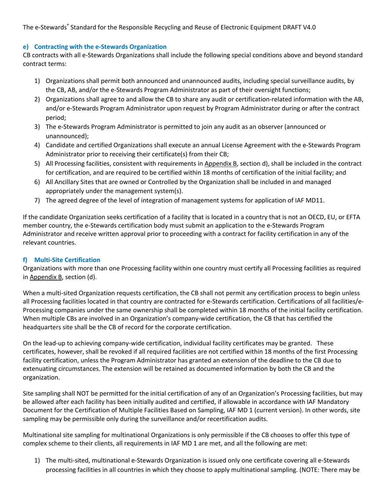## **e) Contracting with the e-Stewards Organization**

CB contracts with all e-Stewards Organizations shall include the following special conditions above and beyond standard contract terms:

- 1) Organizations shall permit both announced and unannounced audits, including special surveillance audits, by the CB, AB, and/or the e-Stewards Program Administrator as part of their oversight functions;
- 2) Organizations shall agree to and allow the CB to share any audit or certification-related information with the AB, and/or e-Stewards Program Administrator upon request by Program Administrator during or after the contract period;
- 3) The e-Stewards Program Administrator is permitted to join any audit as an observer (announced or unannounced);
- 4) Candidate and certified Organizations shall execute an annual License Agreement with the e-Stewards Program Administrator prior to receiving their certificate(s) from their CB;
- 5) All Processing facilities, consistent with requirements in Appendix B, section d), shall be included in the contract for certification, and are required to be certified within 18 months of certification of the initial facility; and
- 6) All Ancillary Sites that are owned or Controlled by the Organization shall be included in and managed appropriately under the management system(s).
- 7) The agreed degree of the level of integration of management systems for application of IAF MD11.

If the candidate Organization seeks certification of a facility that is located in a country that is not an OECD, EU, or EFTA member country, the e-Stewards certification body must submit an application to the e-Stewards Program Administrator and receive written approval prior to proceeding with a contract for facility certification in any of the relevant countries.

# **f) Multi-Site Certification**

Organizations with more than one Processing facility within one country must certify all Processing facilities as required in Appendix B, section (d).

When a multi-sited Organization requests certification, the CB shall not permit any certification process to begin unless all Processing facilities located in that country are contracted for e-Stewards certification. Certifications of all facilities/e-Processing companies under the same ownership shall be completed within 18 months of the initial facility certification. When multiple CBs are involved in an Organization's company-wide certification, the CB that has certified the headquarters site shall be the CB of record for the corporate certification.

On the lead-up to achieving company-wide certification, individual facility certificates may be granted. These certificates, however, shall be revoked if all required facilities are not certified within 18 months of the first Processing facility certification, unless the Program Administrator has granted an extension of the deadline to the CB due to extenuating circumstances. The extension will be retained as documented information by both the CB and the organization.

Site sampling shall NOT be permitted for the initial certification of any of an Organization's Processing facilities, but may be allowed after each facility has been initially audited and certified, if allowable in accordance with IAF Mandatory Document for the Certification of Multiple Facilities Based on Sampling, IAF MD 1 (current version). In other words, site sampling may be permissible only during the surveillance and/or recertification audits.

Multinational site sampling for multinational Organizations is only permissible if the CB chooses to offer this type of complex scheme to their clients, all requirements in IAF MD 1 are met, and all the following are met:

1) The multi-sited, multinational e-Stewards Organization is issued only one certificate covering all e-Stewards processing facilities in all countries in which they choose to apply multinational sampling. (NOTE: There may be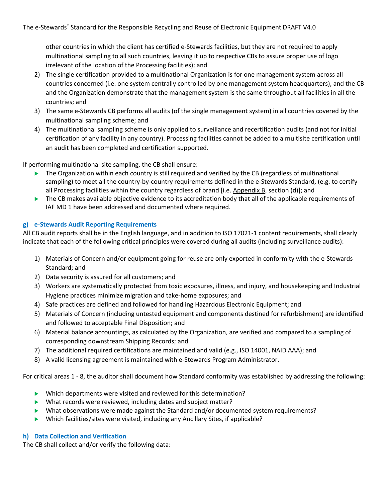other countries in which the client has certified e-Stewards facilities, but they are not required to apply multinational sampling to all such countries, leaving it up to respective CBs to assure proper use of logo irrelevant of the location of the Processing facilities); and

- 2) The single certification provided to a multinational Organization is for one management system across all countries concerned (i.e. one system centrally controlled by one management system headquarters), and the CB and the Organization demonstrate that the management system is the same throughout all facilities in all the countries; and
- 3) The same e-Stewards CB performs all audits (of the single management system) in all countries covered by the multinational sampling scheme; and
- 4) The multinational sampling scheme is only applied to surveillance and recertification audits (and not for initial certification of any facility in any country). Processing facilities cannot be added to a multisite certification until an audit has been completed and certification supported.

If performing multinational site sampling, the CB shall ensure:

- The Organization within each country is still required and verified by the CB (regardless of multinational sampling) to meet all the country-by-country requirements defined in the e-Stewards Standard, (e.g. to certify all Processing facilities within the country regardless of brand [i.e. Appendix B, section (d)]; and
- $\blacktriangleright$  The CB makes available objective evidence to its accreditation body that all of the applicable requirements of IAF MD 1 have been addressed and documented where required.

# **g) e-Stewards Audit Reporting Requirements**

All CB audit reports shall be in the English language, and in addition to ISO 17021-1 content requirements, shall clearly indicate that each of the following critical principles were covered during all audits (including surveillance audits):

- 1) Materials of Concern and/or equipment going for reuse are only exported in conformity with the e-Stewards Standard; and
- 2) Data security is assured for all customers; and
- 3) Workers are systematically protected from toxic exposures, illness, and injury, and housekeeping and Industrial Hygiene practices minimize migration and take-home exposures; and
- 4) Safe practices are defined and followed for handling Hazardous Electronic Equipment; and
- 5) Materials of Concern (including untested equipment and components destined for refurbishment) are identified and followed to acceptable Final Disposition; and
- 6) Material balance accountings, as calculated by the Organization, are verified and compared to a sampling of corresponding downstream Shipping Records; and
- 7) The additional required certifications are maintained and valid (e.g., ISO 14001, NAID AAA); and
- 8) A valid licensing agreement is maintained with e-Stewards Program Administrator.

For critical areas 1 - 8, the auditor shall document how Standard conformity was established by addressing the following:

- $\blacktriangleright$  Which departments were visited and reviewed for this determination?
- $\blacktriangleright$  What records were reviewed, including dates and subject matter?
- $\blacktriangleright$  What observations were made against the Standard and/or documented system requirements?
- $\blacktriangleright$  Which facilities/sites were visited, including any Ancillary Sites, if applicable?

## **h) Data Collection and Verification**

The CB shall collect and/or verify the following data: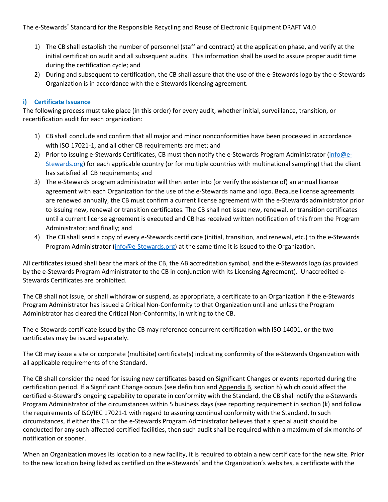- 1) The CB shall establish the number of personnel (staff and contract) at the application phase, and verify at the initial certification audit and all subsequent audits. This information shall be used to assure proper audit time during the certification cycle; and
- 2) During and subsequent to certification, the CB shall assure that the use of the e-Stewards logo by the e-Stewards Organization is in accordance with the e-Stewards licensing agreement.

# **i) Certificate Issuance**

The following process must take place (in this order) for every audit, whether initial, surveillance, transition, or recertification audit for each organization:

- 1) CB shall conclude and confirm that all major and minor nonconformities have been processed in accordance with ISO 17021-1, and all other CB requirements are met; and
- 2) Prior to issuing e-Stewards Certificates, CB must then notify the e-Stewards Program Administrator (info@e-Stewards.org) for each applicable country (or for multiple countries with multinational sampling) that the client has satisfied all CB requirements; and
- 3) The e-Stewards program administrator will then enter into (or verify the existence of) an annual license agreement with each Organization for the use of the e-Stewards name and logo. Because license agreements are renewed annually, the CB must confirm a current license agreement with the e-Stewards administrator prior to issuing new, renewal or transition certificates. The CB shall not issue new, renewal, or transition certificates until a current license agreement is executed and CB has received written notification of this from the Program Administrator; and finally; and
- 4) The CB shall send a copy of every e-Stewards certificate (initial, transition, and renewal, etc.) to the e-Stewards Program Administrator (info@e-Stewards.org) at the same time it is issued to the Organization.

All certificates issued shall bear the mark of the CB, the AB accreditation symbol, and the e-Stewards logo (as provided by the e-Stewards Program Administrator to the CB in conjunction with its Licensing Agreement). Unaccredited e-Stewards Certificates are prohibited.

The CB shall not issue, or shall withdraw or suspend, as appropriate, a certificate to an Organization if the e-Stewards Program Administrator has issued a Critical Non-Conformity to that Organization until and unless the Program Administrator has cleared the Critical Non-Conformity, in writing to the CB.

The e-Stewards certificate issued by the CB may reference concurrent certification with ISO 14001, or the two certificates may be issued separately.

The CB may issue a site or corporate (multisite) certificate(s) indicating conformity of the e-Stewards Organization with all applicable requirements of the Standard.

The CB shall consider the need for issuing new certificates based on Significant Changes or events reported during the certification period. If a Significant Change occurs (see definition and Appendix B, section h) which could affect the certified e-Steward's ongoing capability to operate in conformity with the Standard, the CB shall notify the e-Stewards Program Administrator of the circumstances within 5 business days (see reporting requirement in section (k) and follow the requirements of ISO/IEC 17021-1 with regard to assuring continual conformity with the Standard. In such circumstances, if either the CB or the e-Stewards Program Administrator believes that a special audit should be conducted for any such-affected certified facilities, then such audit shall be required within a maximum of six months of notification or sooner.

When an Organization moves its location to a new facility, it is required to obtain a new certificate for the new site. Prior to the new location being listed as certified on the e-Stewards' and the Organization's websites, a certificate with the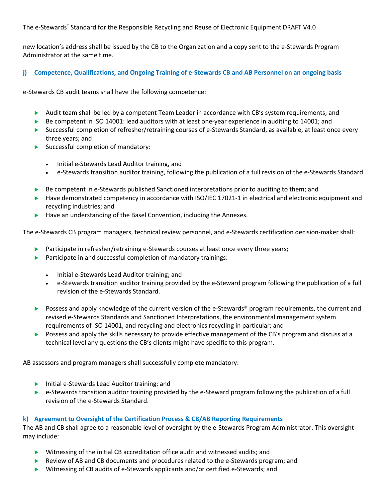new location's address shall be issued by the CB to the Organization and a copy sent to the e-Stewards Program Administrator at the same time.

# **j) Competence, Qualifications, and Ongoing Training of e-Stewards CB and AB Personnel on an ongoing basis**

e-Stewards CB audit teams shall have the following competence:

- Audit team shall be led by a competent Team Leader in accordance with CB's system requirements; and
- $\triangleright$  Be competent in ISO 14001: lead auditors with at least one-year experience in auditing to 14001; and
- $\triangleright$  Successful completion of refresher/retraining courses of e-Stewards Standard, as available, at least once every three years; and
- $\blacktriangleright$  Successful completion of mandatory:
	- Initial e-Stewards Lead Auditor training, and
	- e-Stewards transition auditor training, following the publication of a full revision of the e-Stewards Standard.
- $\triangleright$  Be competent in e-Stewards published Sanctioned interpretations prior to auditing to them; and
- Have demonstrated competency in accordance with ISO/IEC 17021-1 in electrical and electronic equipment and recycling industries; and
- $\blacktriangleright$  Have an understanding of the Basel Convention, including the Annexes.

The e-Stewards CB program managers, technical review personnel, and e-Stewards certification decision-maker shall:

- **EXECUTE:** Participate in refresher/retraining e-Stewards courses at least once every three years;
- $\blacktriangleright$  Participate in and successful completion of mandatory trainings:
	- Initial e-Stewards Lead Auditor training; and
	- e-Stewards transition auditor training provided by the e-Steward program following the publication of a full revision of the e-Stewards Standard.
- ▶ Possess and apply knowledge of the current version of the e-Stewards<sup>®</sup> program requirements, the current and revised e-Stewards Standards and Sanctioned Interpretations, the environmental management system requirements of ISO 14001, and recycling and electronics recycling in particular; and
- Possess and apply the skills necessary to provide effective management of the CB's program and discuss at a technical level any questions the CB's clients might have specific to this program.

AB assessors and program managers shall successfully complete mandatory:

- $\blacktriangleright$  Initial e-Stewards Lead Auditor training; and
- $\triangleright$  e-Stewards transition auditor training provided by the e-Steward program following the publication of a full revision of the e-Stewards Standard.

## **k) Agreement to Oversight of the Certification Process & CB/AB Reporting Requirements**

The AB and CB shall agree to a reasonable level of oversight by the e-Stewards Program Administrator. This oversight may include:

- $\triangleright$  Witnessing of the initial CB accreditation office audit and witnessed audits; and
- Exercise Review of AB and CB documents and procedures related to the e-Stewards program; and
- $\blacktriangleright$  Witnessing of CB audits of e-Stewards applicants and/or certified e-Stewards; and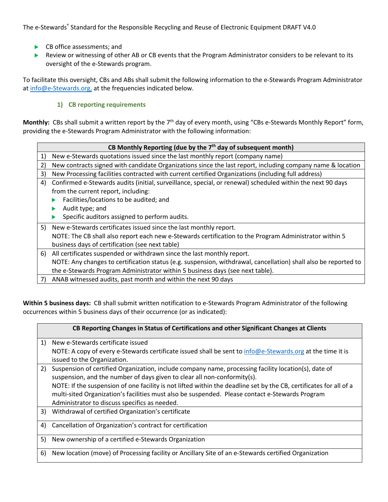- $\blacktriangleright$  CB office assessments; and
- Review or witnessing of other AB or CB events that the Program Administrator considers to be relevant to its oversight of the e-Stewards program.

To facilitate this oversight, CBs and ABs shall submit the following information to the e-Stewards Program Administrator at info@e-Stewards.org, at the frequencies indicated below.

# **1) CB reporting requirements**

**Monthly:** CBs shall submit a written report by the 7<sup>th</sup> day of every month, using "CBs e-Stewards Monthly Report" form, providing the e-Stewards Program Administrator with the following information:

|    | CB Monthly Reporting (due by the 7 <sup>th</sup> day of subsequent month)                                       |  |  |
|----|-----------------------------------------------------------------------------------------------------------------|--|--|
| 1) | New e-Stewards quotations issued since the last monthly report (company name)                                   |  |  |
| 2) | New contracts signed with candidate Organizations since the last report, including company name & location      |  |  |
| 3) | New Processing facilities contracted with current certified Organizations (including full address)              |  |  |
| 4) | Confirmed e-Stewards audits (initial, surveillance, special, or renewal) scheduled within the next 90 days      |  |  |
|    | from the current report, including:                                                                             |  |  |
|    | Facilities/locations to be audited; and                                                                         |  |  |
|    | Audit type; and                                                                                                 |  |  |
|    | Specific auditors assigned to perform audits.                                                                   |  |  |
| 5) | New e-Stewards certificates issued since the last monthly report.                                               |  |  |
|    | NOTE: The CB shall also report each new e-Stewards certification to the Program Administrator within 5          |  |  |
|    | business days of certification (see next table)                                                                 |  |  |
|    | 6) All certificates suspended or withdrawn since the last monthly report.                                       |  |  |
|    | NOTE: Any changes to certification status (e.g. suspension, withdrawal, cancellation) shall also be reported to |  |  |
|    | the e-Stewards Program Administrator within 5 business days (see next table).                                   |  |  |
| 7) | ANAB witnessed audits, past month and within the next 90 days                                                   |  |  |

**Within 5 business days:** CB shall submit written notification to e-Stewards Program Administrator of the following occurrences within 5 business days of their occurrence (or as indicated):

| CB Reporting Changes in Status of Certifications and other Significant Changes at Clients                          |
|--------------------------------------------------------------------------------------------------------------------|
| New e-Stewards certificate issued                                                                                  |
| NOTE: A copy of every e-Stewards certificate issued shall be sent to info@e-Stewards.org at the time it is         |
| issued to the Organization.                                                                                        |
| Suspension of certified Organization, include company name, processing facility location(s), date of               |
| suspension, and the number of days given to clear all non-conformity(s).                                           |
| NOTE: If the suspension of one facility is not lifted within the deadline set by the CB, certificates for all of a |
| multi-sited Organization's facilities must also be suspended. Please contact e-Stewards Program                    |
| Administrator to discuss specifics as needed.                                                                      |
| Withdrawal of certified Organization's certificate                                                                 |
| Cancellation of Organization's contract for certification                                                          |
| New ownership of a certified e-Stewards Organization                                                               |
| New location (move) of Processing facility or Ancillary Site of an e-Stewards certified Organization               |
|                                                                                                                    |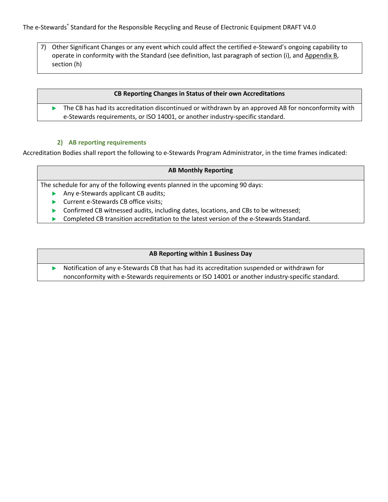7) Other Significant Changes or any event which could affect the certified e-Steward's ongoing capability to operate in conformity with the Standard (see definition, last paragraph of section (i), and Appendix B, section (h)

#### **CB Reporting Changes in Status of their own Accreditations**

 $\blacktriangleright$  The CB has had its accreditation discontinued or withdrawn by an approved AB for nonconformity with e-Stewards requirements, or ISO 14001, or another industry-specific standard.

#### **2) AB reporting requirements**

Accreditation Bodies shall report the following to e-Stewards Program Administrator, in the time frames indicated:

#### **AB Monthly Reporting**

The schedule for any of the following events planned in the upcoming 90 days:

- Any e-Stewards applicant CB audits;
- $\blacktriangleright$  Current e-Stewards CB office visits;
- $\triangleright$  Confirmed CB witnessed audits, including dates, locations, and CBs to be witnessed;
- $\triangleright$  Completed CB transition accreditation to the latest version of the e-Stewards Standard.

#### **AB Reporting within 1 Business Day**

**DED Notification of any e-Stewards CB that has had its accreditation suspended or withdrawn for** nonconformity with e-Stewards requirements or ISO 14001 or another industry-specific standard.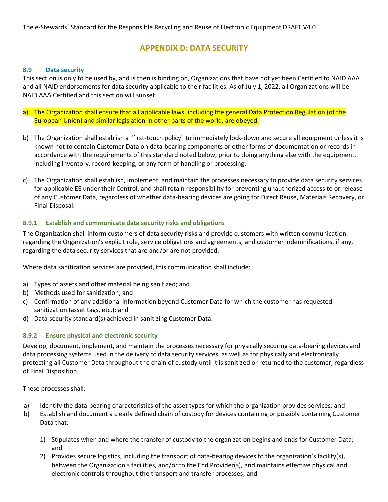# **APPENDIX D: DATA SECURITY**

#### **8.9 Data security**

This section is only to be used by, and is then is binding on, Organizations that have not yet been Certified to NAID AAA and all NAID endorsements for data security applicable to their facilities. As of July 1, 2022, all Organizations will be NAID AAA Certified and this section will sunset.

- a) The Organization shall ensure that all applicable laws, including the general Data Protection Regulation (of the European Union) and similar legislation in other parts of the world, are obeyed.
- b) The Organization shall establish a "first-touch policy" to immediately lock-down and secure all equipment unless it is known not to contain Customer Data on data-bearing components or other forms of documentation or records in accordance with the requirements of this standard noted below, prior to doing anything else with the equipment, including inventory, record-keeping, or any form of handling or processing.
- c) The Organization shall establish, implement, and maintain the processes necessary to provide data security services for applicable EE under their Control, and shall retain responsibility for preventing unauthorized access to or release of any Customer Data, regardless of whether data-bearing devices are going for Direct Reuse, Materials Recovery, or Final Disposal.

## **8.9.1 Establish and communicate data security risks and obligations**

The Organization shall inform customers of data security risks and provide customers with written communication regarding the Organization's explicit role, service obligations and agreements, and customer indemnifications, if any, regarding the data security services that are and/or are not provided.

Where data sanitization services are provided, this communication shall include:

- a) Types of assets and other material being sanitized; and
- b) Methods used for sanitization; and
- c) Confirmation of any additional information beyond Customer Data for which the customer has requested sanitization (asset tags, etc.); and
- d) Data security standard(s) achieved in sanitizing Customer Data.

## **8.9.2 Ensure physical and electronic security**

Develop, document, implement, and maintain the processes necessary for physically securing data-bearing devices and data processing systems used in the delivery of data security services, as well as for physically and electronically protecting all Customer Data throughout the chain of custody until it is sanitized or returned to the customer, regardless of Final Disposition.

These processes shall:

- a) Identify the data-bearing characteristics of the asset types for which the organization provides services; and
- b) Establish and document a clearly defined chain of custody for devices containing or possibly containing Customer Data that:
	- 1) Stipulates when and where the transfer of custody to the organization begins and ends for Customer Data; and
	- 2) Provides secure logistics, including the transport of data-bearing devices to the organization's facility(s), between the Organization's facilities, and/or to the End Provider(s), and maintains effective physical and electronic controls throughout the transport and transfer processes; and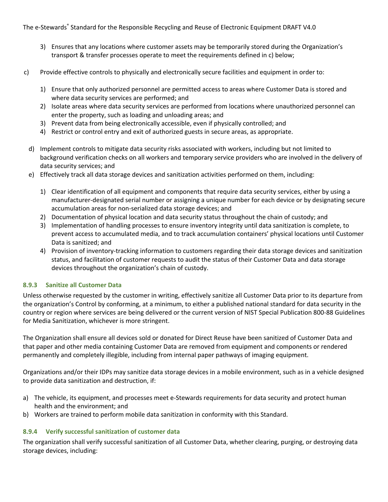- 3) Ensures that any locations where customer assets may be temporarily stored during the Organization's transport & transfer processes operate to meet the requirements defined in c) below;
- c) Provide effective controls to physically and electronically secure facilities and equipment in order to:
	- 1) Ensure that only authorized personnel are permitted access to areas where Customer Data is stored and where data security services are performed; and
	- 2) Isolate areas where data security services are performed from locations where unauthorized personnel can enter the property, such as loading and unloading areas; and
	- 3) Prevent data from being electronically accessible, even if physically controlled; and
	- 4) Restrict or control entry and exit of authorized guests in secure areas, as appropriate.
	- d) Implement controls to mitigate data security risks associated with workers, including but not limited to background verification checks on all workers and temporary service providers who are involved in the delivery of data security services; and
	- e) Effectively track all data storage devices and sanitization activities performed on them, including:
		- 1) Clear identification of all equipment and components that require data security services, either by using a manufacturer-designated serial number or assigning a unique number for each device or by designating secure accumulation areas for non-serialized data storage devices; and
		- 2) Documentation of physical location and data security status throughout the chain of custody; and
		- 3) Implementation of handling processes to ensure inventory integrity until data sanitization is complete, to prevent access to accumulated media, and to track accumulation containers' physical locations until Customer Data is sanitized; and
		- 4) Provision of inventory-tracking information to customers regarding their data storage devices and sanitization status, and facilitation of customer requests to audit the status of their Customer Data and data storage devices throughout the organization's chain of custody.

## **8.9.3 Sanitize all Customer Data**

Unless otherwise requested by the customer in writing, effectively sanitize all Customer Data prior to its departure from the organization's Control by conforming, at a minimum, to either a published national standard for data security in the country or region where services are being delivered or the current version of NIST Special Publication 800-88 Guidelines for Media Sanitization, whichever is more stringent.

The Organization shall ensure all devices sold or donated for Direct Reuse have been sanitized of Customer Data and that paper and other media containing Customer Data are removed from equipment and components or rendered permanently and completely illegible, including from internal paper pathways of imaging equipment.

Organizations and/or their IDPs may sanitize data storage devices in a mobile environment, such as in a vehicle designed to provide data sanitization and destruction, if:

- a) The vehicle, its equipment, and processes meet e-Stewards requirements for data security and protect human health and the environment; and
- b) Workers are trained to perform mobile data sanitization in conformity with this Standard.

# **8.9.4 Verify successful sanitization of customer data**

The organization shall verify successful sanitization of all Customer Data, whether clearing, purging, or destroying data storage devices, including: